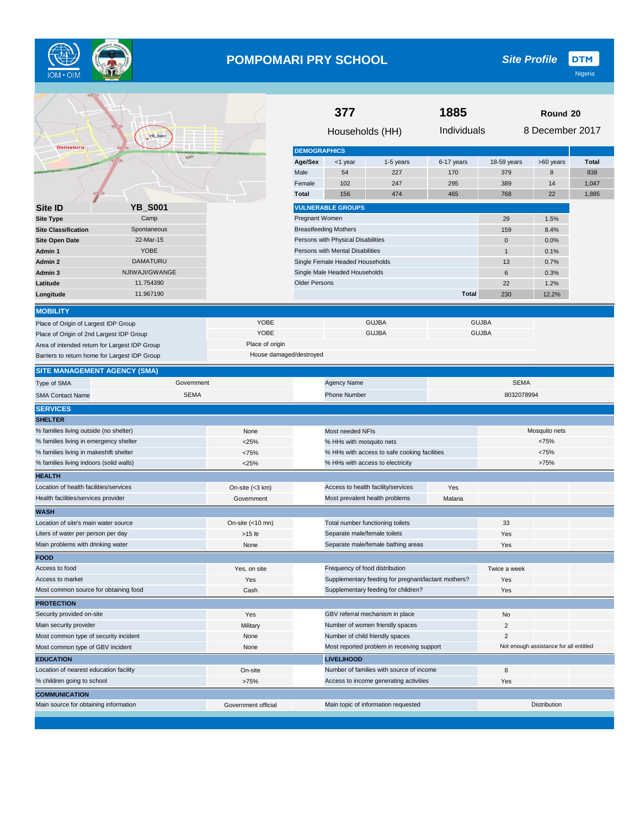

# **POMPOMARI PRY SCHOOL**

**DTM** *Site Profile*

|                                               |                          |                         | 1885<br>377                         |                                                                    |                                                     |              | Round 20           |                                        |                     |
|-----------------------------------------------|--------------------------|-------------------------|-------------------------------------|--------------------------------------------------------------------|-----------------------------------------------------|--------------|--------------------|----------------------------------------|---------------------|
| Damaturu                                      | YB_Soo1                  |                         |                                     | Households (HH)                                                    |                                                     | Individuals  |                    | 8 December 2017                        |                     |
|                                               | $\infty$                 |                         | <b>DEMOGRAPHICS</b>                 |                                                                    |                                                     |              |                    |                                        |                     |
|                                               |                          |                         | Age/Sex<br>Male                     | <1 year<br>54                                                      | 1-5 years<br>227                                    | 6-17 years   | 18-59 years<br>379 | >60 years<br>8                         | <b>Total</b><br>838 |
|                                               |                          |                         | Female                              | 102                                                                | 247                                                 | 170<br>295   | 389                | 14                                     | 1,047               |
|                                               |                          |                         | <b>Total</b>                        | 156                                                                | 474                                                 | 465          | 768                | 22                                     | 1,885               |
|                                               |                          |                         |                                     |                                                                    |                                                     |              |                    |                                        |                     |
| Site ID                                       | <b>YB S001</b>           |                         |                                     | <b>VULNERABLE GROUPS</b>                                           |                                                     |              |                    |                                        |                     |
| <b>Site Type</b>                              | Camp                     |                         | <b>Pregnant Women</b>               |                                                                    |                                                     |              | 29                 | 1.5%                                   |                     |
| <b>Site Classification</b>                    | Spontaneous<br>22-Mar-15 |                         |                                     | <b>Breastfeeding Mothers</b><br>Persons with Physical Disabilities |                                                     |              | 159<br>0           | 8.4%<br>0.0%                           |                     |
| Site Open Date<br>Admin 1                     | <b>YOBE</b>              |                         |                                     | Persons with Mental Disabilities                                   |                                                     |              | $\mathbf{1}$       | 0.1%                                   |                     |
| Admin 2                                       | <b>DAMATURU</b>          |                         |                                     | Single Female Headed Households                                    |                                                     |              | 13                 | 0.7%                                   |                     |
| Admin 3                                       | NJIWAJI/GWANGE           |                         |                                     | Single Male Headed Households                                      |                                                     |              | 6                  | 0.3%                                   |                     |
| Latitude                                      | 11.754390                |                         | <b>Older Persons</b>                |                                                                    |                                                     |              | 22                 | 1.2%                                   |                     |
| Longitude                                     | 11.967190                |                         |                                     |                                                                    |                                                     | <b>Total</b> | 230                | 12.2%                                  |                     |
|                                               |                          |                         |                                     |                                                                    |                                                     |              |                    |                                        |                     |
| <b>MOBILITY</b>                               |                          |                         |                                     |                                                                    |                                                     |              |                    |                                        |                     |
| Place of Origin of Largest IDP Group          |                          | YOBE                    |                                     |                                                                    | <b>GUJBA</b>                                        |              | <b>GUJBA</b>       |                                        |                     |
| Place of Origin of 2nd Largest IDP Group      |                          | YOBE                    |                                     |                                                                    | <b>GUJBA</b>                                        |              | <b>GUJBA</b>       |                                        |                     |
| Area of intended return for Largest IDP Group |                          | Place of origin         |                                     |                                                                    |                                                     |              |                    |                                        |                     |
| Barriers to return home for Largest IDP Group |                          | House damaged/destroyed |                                     |                                                                    |                                                     |              |                    |                                        |                     |
| <b>SITE MANAGEMENT AGENCY (SMA)</b>           |                          |                         |                                     |                                                                    |                                                     |              |                    |                                        |                     |
| Type of SMA                                   | Government               |                         |                                     | Agency Name                                                        |                                                     |              | <b>SEMA</b>        |                                        |                     |
| <b>SMA Contact Name</b>                       | <b>SEMA</b>              |                         |                                     | Phone Number                                                       |                                                     |              | 8032078994         |                                        |                     |
| <b>SERVICES</b>                               |                          |                         |                                     |                                                                    |                                                     |              |                    |                                        |                     |
| <b>SHELTER</b>                                |                          |                         |                                     |                                                                    |                                                     |              |                    |                                        |                     |
| % families living outside (no shelter)        |                          | None                    |                                     | Most needed NFIs                                                   |                                                     |              | Mosquito nets      |                                        |                     |
| % families living in emergency shelter        |                          | $<$ 25%                 |                                     | % HHs with mosquito nets                                           |                                                     |              | <75%               |                                        |                     |
| % families living in makeshift shelter        |                          | <75%                    |                                     |                                                                    | % HHs with access to safe cooking facilities        |              |                    | <75%                                   |                     |
| % families living indoors (solid walls)       |                          | < 25%                   |                                     |                                                                    | % HHs with access to electricity                    |              |                    | >75%                                   |                     |
| <b>HEALTH</b>                                 |                          |                         |                                     |                                                                    |                                                     |              |                    |                                        |                     |
| Location of health facilities/services        |                          | On-site (<3 km)         |                                     |                                                                    | Access to health facility/services                  | Yes          |                    |                                        |                     |
| Health facilities/services provider           |                          | Government              |                                     | Most prevalent health problems                                     |                                                     | Malaria      |                    |                                        |                     |
| <b>WASH</b>                                   |                          |                         |                                     |                                                                    |                                                     |              |                    |                                        |                     |
| Location of site's main water source          |                          | On-site (<10 mn)        |                                     | Total number functioning toilets                                   |                                                     |              | 33                 |                                        |                     |
| Liters of water per person per day            |                          | >15 ltr                 |                                     | Separate male/female toilets                                       |                                                     |              | Yes                |                                        |                     |
| Main problems with drinking water             |                          | None                    |                                     |                                                                    | Separate male/female bathing areas                  |              | Yes                |                                        |                     |
| <b>FOOD</b>                                   |                          |                         |                                     |                                                                    |                                                     |              |                    |                                        |                     |
| Access to food                                |                          | Yes, on site            |                                     | Frequency of food distribution                                     |                                                     |              | Twice a week       |                                        |                     |
| Access to market                              |                          | Yes                     |                                     |                                                                    | Supplementary feeding for pregnant/lactant mothers? |              | Yes                |                                        |                     |
| Most common source for obtaining food         |                          | Cash                    |                                     |                                                                    | Supplementary feeding for children?                 |              | Yes                |                                        |                     |
| <b>PROTECTION</b>                             |                          |                         |                                     |                                                                    |                                                     |              |                    |                                        |                     |
| Security provided on-site                     |                          | Yes                     |                                     |                                                                    | GBV referral mechanism in place                     |              | No                 |                                        |                     |
| Main security provider                        |                          | Military                |                                     |                                                                    | Number of women friendly spaces                     |              | 2                  |                                        |                     |
| Most common type of security incident         |                          | None                    |                                     | Number of child friendly spaces                                    |                                                     |              | 2                  |                                        |                     |
| Most common type of GBV incident              |                          | None                    |                                     |                                                                    | Most reported problem in receiving support          |              |                    | Not enough assistance for all entitled |                     |
| <b>EDUCATION</b>                              |                          |                         |                                     | <b>LIVELIHOOD</b>                                                  |                                                     |              |                    |                                        |                     |
| Location of nearest education facility        |                          | On-site                 |                                     |                                                                    | Number of families with source of income            |              | 8                  |                                        |                     |
| % children going to school                    |                          | >75%                    |                                     |                                                                    | Access to income generating activities              |              | Yes                |                                        |                     |
| <b>COMMUNICATION</b>                          |                          |                         |                                     |                                                                    |                                                     |              |                    |                                        |                     |
| Main source for obtaining information         |                          | Government official     | Main topic of information requested |                                                                    |                                                     |              | Distribution       |                                        |                     |
|                                               |                          |                         |                                     |                                                                    |                                                     |              |                    |                                        |                     |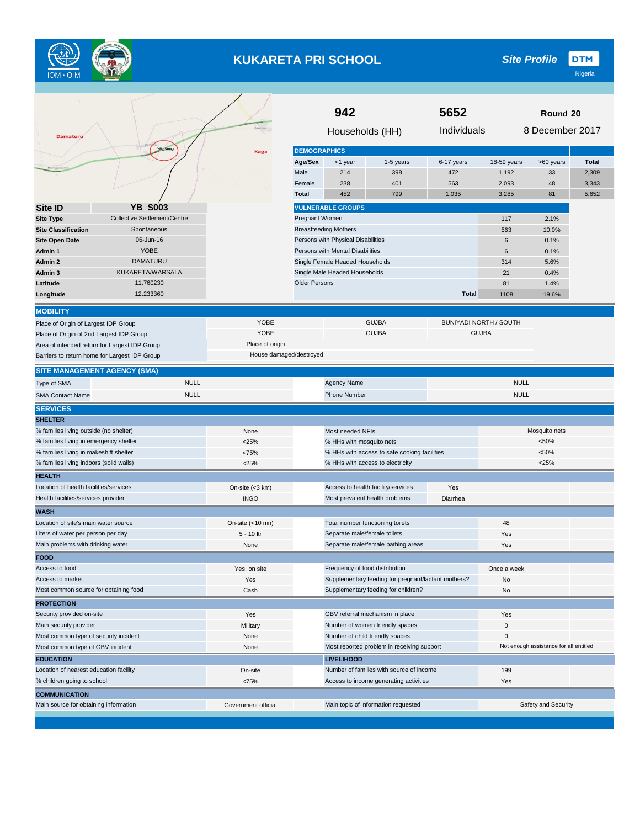

# **KUKARETA PRI SCHOOL**

**DTM** *Site Profile*

| Damaturu                                      |                              |                         |                      | 942<br>Households (HH)             |                                                     | 5652<br>Round 20<br>8 December 2017<br>Individuals |                               |                                        |              |
|-----------------------------------------------|------------------------------|-------------------------|----------------------|------------------------------------|-----------------------------------------------------|----------------------------------------------------|-------------------------------|----------------------------------------|--------------|
|                                               | YB: 5003                     | Kaga                    | <b>DEMOGRAPHICS</b>  |                                    |                                                     |                                                    |                               |                                        |              |
|                                               |                              |                         | Age/Sex              | <1 year                            | 1-5 years                                           | 6-17 years                                         | 18-59 years                   | >60 years                              | <b>Total</b> |
|                                               |                              |                         | Male                 | 214                                | 398                                                 | 472                                                | 1,192                         | 33                                     | 2,309        |
|                                               |                              |                         | Female               | 238                                | 401                                                 | 563                                                | 2,093                         | 48                                     | 3,343        |
|                                               |                              |                         | <b>Total</b>         | 452                                | 799                                                 | 1,035                                              | 3,285                         | 81                                     | 5,652        |
| Site ID                                       | <b>YB_S003</b>               |                         |                      | <b>VULNERABLE GROUPS</b>           |                                                     |                                                    |                               |                                        |              |
| <b>Site Type</b>                              | Collective Settlement/Centre |                         | Pregnant Women       |                                    |                                                     |                                                    | 117                           | 2.1%                                   |              |
| <b>Site Classification</b>                    | Spontaneous                  |                         |                      | <b>Breastfeeding Mothers</b>       |                                                     |                                                    | 563                           | 10.0%                                  |              |
| <b>Site Open Date</b>                         | 06-Jun-16                    |                         |                      | Persons with Physical Disabilities |                                                     |                                                    | 6                             | 0.1%                                   |              |
| Admin 1                                       | <b>YOBE</b>                  |                         |                      | Persons with Mental Disabilities   |                                                     |                                                    | 6                             | 0.1%                                   |              |
| Admin 2                                       | <b>DAMATURU</b>              |                         |                      | Single Female Headed Households    |                                                     |                                                    | 314                           | 5.6%                                   |              |
| Admin 3                                       | KUKARETA/WARSALA             |                         |                      | Single Male Headed Households      |                                                     |                                                    | 21                            | 0.4%                                   |              |
| Latitude                                      | 11.760230                    |                         | <b>Older Persons</b> |                                    |                                                     |                                                    | 81                            | 1.4%                                   |              |
| Longitude                                     | 12.233360                    |                         |                      |                                    |                                                     | <b>Total</b>                                       | 1108                          | 19.6%                                  |              |
|                                               |                              |                         |                      |                                    |                                                     |                                                    |                               |                                        |              |
| <b>MOBILITY</b>                               |                              |                         |                      |                                    |                                                     |                                                    |                               |                                        |              |
| Place of Origin of Largest IDP Group          |                              | YOBE                    |                      |                                    | <b>GUJBA</b>                                        |                                                    | <b>BUNIYADI NORTH / SOUTH</b> |                                        |              |
| Place of Origin of 2nd Largest IDP Group      |                              | YOBE                    |                      |                                    | <b>GUJBA</b>                                        |                                                    | <b>GUJBA</b>                  |                                        |              |
| Area of intended return for Largest IDP Group |                              | Place of origin         |                      |                                    |                                                     |                                                    |                               |                                        |              |
| Barriers to return home for Largest IDP Group |                              | House damaged/destroyed |                      |                                    |                                                     |                                                    |                               |                                        |              |
| <b>SITE MANAGEMENT AGENCY (SMA)</b>           |                              |                         |                      |                                    |                                                     |                                                    |                               |                                        |              |
| Type of SMA                                   | <b>NULL</b>                  |                         |                      | <b>Agency Name</b>                 |                                                     |                                                    | <b>NULL</b>                   |                                        |              |
| <b>SMA Contact Name</b>                       | <b>NULL</b>                  |                         |                      | <b>Phone Number</b>                |                                                     |                                                    | <b>NULL</b>                   |                                        |              |
| <b>SERVICES</b>                               |                              |                         |                      |                                    |                                                     |                                                    |                               |                                        |              |
| <b>SHELTER</b>                                |                              |                         |                      |                                    |                                                     |                                                    |                               |                                        |              |
| % families living outside (no shelter)        |                              | None                    |                      | Most needed NFIs                   |                                                     |                                                    |                               | Mosquito nets                          |              |
| % families living in emergency shelter        |                              | $<$ 25%                 |                      | % HHs with mosquito nets           |                                                     |                                                    |                               | < 50%                                  |              |
| % families living in makeshift shelter        |                              | <75%                    |                      |                                    | % HHs with access to safe cooking facilities        |                                                    |                               | < 50%                                  |              |
| % families living indoors (solid walls)       |                              | < 25%                   |                      |                                    | % HHs with access to electricity                    |                                                    |                               | $<$ 25%                                |              |
| <b>HEALTH</b>                                 |                              |                         |                      |                                    |                                                     |                                                    |                               |                                        |              |
| Location of health facilities/services        |                              | On-site (<3 km)         |                      |                                    | Access to health facility/services                  | Yes                                                |                               |                                        |              |
| Health facilities/services provider           |                              | <b>INGO</b>             |                      |                                    | Most prevalent health problems                      | Diarrhea                                           |                               |                                        |              |
| <b>WASH</b>                                   |                              |                         |                      |                                    |                                                     |                                                    |                               |                                        |              |
| Location of site's main water source          |                              | On-site (<10 mn)        |                      | Total number functioning toilets   |                                                     |                                                    | 48                            |                                        |              |
| Liters of water per person per day            |                              | 5 - 10 ltr              |                      | Separate male/female toilets       |                                                     |                                                    | Yes                           |                                        |              |
| Main problems with drinking water             |                              | None                    |                      |                                    | Separate male/female bathing areas                  |                                                    | Yes                           |                                        |              |
| <b>FOOD</b>                                   |                              |                         |                      |                                    |                                                     |                                                    |                               |                                        |              |
| Access to food                                |                              | Yes, on site            |                      | Frequency of food distribution     |                                                     |                                                    | Once a week                   |                                        |              |
| Access to market                              |                              | Yes                     |                      |                                    | Supplementary feeding for pregnant/lactant mothers? |                                                    | No                            |                                        |              |
| Most common source for obtaining food         |                              | Cash                    |                      |                                    | Supplementary feeding for children?                 |                                                    | No                            |                                        |              |
| <b>PROTECTION</b>                             |                              |                         |                      |                                    |                                                     |                                                    |                               |                                        |              |
| Security provided on-site                     |                              | Yes                     |                      |                                    | GBV referral mechanism in place                     |                                                    | Yes                           |                                        |              |
| Main security provider                        |                              | Military                |                      |                                    | Number of women friendly spaces                     |                                                    | 0                             |                                        |              |
| Most common type of security incident         |                              | None                    |                      |                                    | Number of child friendly spaces                     |                                                    | 0                             |                                        |              |
| Most common type of GBV incident              |                              | None                    |                      |                                    | Most reported problem in receiving support          |                                                    |                               | Not enough assistance for all entitled |              |
| <b>EDUCATION</b>                              |                              |                         |                      | <b>LIVELIHOOD</b>                  |                                                     |                                                    |                               |                                        |              |
| Location of nearest education facility        |                              | On-site                 |                      |                                    | Number of families with source of income            |                                                    | 199                           |                                        |              |
| % children going to school                    |                              | <75%                    |                      |                                    | Access to income generating activities              |                                                    | Yes                           |                                        |              |
| <b>COMMUNICATION</b>                          |                              |                         |                      |                                    |                                                     |                                                    |                               |                                        |              |
| Main source for obtaining information         |                              | Government official     |                      |                                    | Main topic of information requested                 |                                                    |                               | Safety and Security                    |              |
|                                               |                              |                         |                      |                                    |                                                     |                                                    |                               |                                        |              |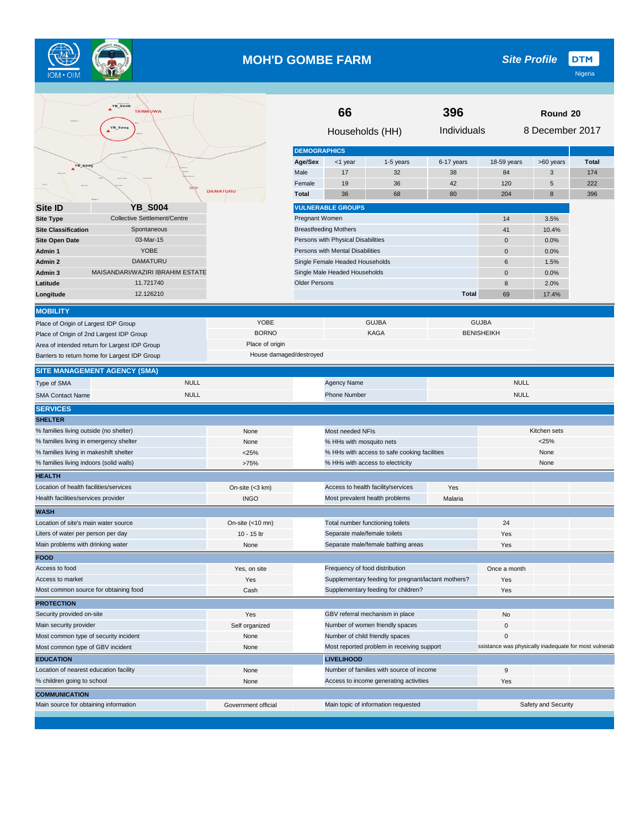

#### **MOH'D GOMBE FARM**

**DTM** *Site Profile*

| <b>YB_S006</b><br><b>TARMUWA</b><br>YB_So        |                                                            | 66<br>Households (HH)                      |                                    | 396<br>Individuals                                  | Round 20<br>8 December 2017 |                                                       |                |              |
|--------------------------------------------------|------------------------------------------------------------|--------------------------------------------|------------------------------------|-----------------------------------------------------|-----------------------------|-------------------------------------------------------|----------------|--------------|
|                                                  |                                                            |                                            |                                    |                                                     |                             |                                                       |                |              |
|                                                  |                                                            | <b>DEMOGRAPHICS</b>                        |                                    |                                                     |                             |                                                       |                |              |
| <b>YB Soos</b>                                   |                                                            | Age/Sex                                    | <1 year                            | 1-5 years                                           | 6-17 years                  | 18-59 years                                           | >60 years      | <b>Total</b> |
|                                                  |                                                            | Male                                       | 17                                 | 32                                                  | 38                          | 84                                                    | 3              | 174          |
|                                                  | <b>DAMATURU</b>                                            | Female                                     | 19                                 | 36                                                  | 42                          | 120                                                   | $\overline{5}$ | 222          |
|                                                  |                                                            | <b>Total</b>                               | 36                                 | 68                                                  | 80                          | 204                                                   | 8              | 396          |
| <b>YB_S004</b><br><b>Site ID</b>                 |                                                            |                                            | <b>VULNERABLE GROUPS</b>           |                                                     |                             |                                                       |                |              |
| Collective Settlement/Centre<br><b>Site Type</b> |                                                            | Pregnant Women                             |                                    |                                                     |                             | 14<br>3.5%                                            |                |              |
| Spontaneous<br><b>Site Classification</b>        |                                                            |                                            | <b>Breastfeeding Mothers</b>       |                                                     |                             | 41                                                    | 10.4%          |              |
| 03-Mar-15<br><b>Site Open Date</b>               |                                                            |                                            | Persons with Physical Disabilities |                                                     |                             | $\mathbf 0$                                           | 0.0%           |              |
| <b>YOBE</b><br>Admin 1                           |                                                            |                                            | Persons with Mental Disabilities   |                                                     | $\mathbf 0$                 | 0.0%                                                  |                |              |
| <b>DAMATURU</b><br>Admin 2                       |                                                            |                                            | Single Female Headed Households    |                                                     |                             | 6                                                     | 1.5%           |              |
| MAISANDARI/WAZIRI IBRAHIM ESTATE<br>Admin 3      |                                                            |                                            | Single Male Headed Households      |                                                     |                             | $\mathbf 0$                                           | 0.0%           |              |
| 11.721740<br>Latitude                            |                                                            | <b>Older Persons</b>                       |                                    |                                                     |                             | 8                                                     | 2.0%           |              |
| 12.126210<br>Longitude                           |                                                            |                                            |                                    |                                                     | <b>Total</b>                | 69                                                    | 17.4%          |              |
| <b>MOBILITY</b>                                  |                                                            |                                            |                                    |                                                     |                             |                                                       |                |              |
| Place of Origin of Largest IDP Group             | YOBE                                                       |                                            |                                    | <b>GUJBA</b>                                        |                             | <b>GUJBA</b>                                          |                |              |
| Place of Origin of 2nd Largest IDP Group         | <b>BORNO</b>                                               |                                            |                                    | <b>KAGA</b>                                         |                             | <b>BENISHEIKH</b>                                     |                |              |
| Area of intended return for Largest IDP Group    | Place of origin                                            |                                            |                                    |                                                     |                             |                                                       |                |              |
| Barriers to return home for Largest IDP Group    | House damaged/destroyed                                    |                                            |                                    |                                                     |                             |                                                       |                |              |
| <b>SITE MANAGEMENT AGENCY (SMA)</b>              |                                                            |                                            |                                    |                                                     |                             |                                                       |                |              |
| <b>NULL</b><br>Type of SMA                       |                                                            |                                            | Agency Name                        |                                                     |                             | <b>NULL</b>                                           |                |              |
| <b>NULL</b><br><b>SMA Contact Name</b>           |                                                            |                                            | <b>Phone Number</b>                |                                                     |                             | <b>NULL</b>                                           |                |              |
| <b>SERVICES</b>                                  |                                                            |                                            |                                    |                                                     |                             |                                                       |                |              |
| <b>SHELTER</b>                                   |                                                            |                                            |                                    |                                                     |                             |                                                       |                |              |
| % families living outside (no shelter)           | None                                                       |                                            | Most needed NFIs                   |                                                     |                             |                                                       | Kitchen sets   |              |
| % families living in emergency shelter           | None                                                       |                                            | % HHs with mosquito nets           |                                                     |                             | < 25%                                                 |                |              |
| % families living in makeshift shelter           | < 25%                                                      |                                            |                                    | % HHs with access to safe cooking facilities        |                             |                                                       | None           |              |
| % families living indoors (solid walls)          | >75%                                                       |                                            |                                    | % HHs with access to electricity                    |                             |                                                       | None           |              |
| <b>HEALTH</b>                                    |                                                            |                                            |                                    |                                                     |                             |                                                       |                |              |
| Location of health facilities/services           | On-site $(<3$ km)                                          |                                            |                                    | Access to health facility/services                  | Yes                         |                                                       |                |              |
| Health facilities/services provider              | <b>INGO</b>                                                |                                            |                                    | Most prevalent health problems                      | Malaria                     |                                                       |                |              |
| <b>WASH</b>                                      |                                                            |                                            |                                    |                                                     |                             |                                                       |                |              |
| Location of site's main water source             | On-site $(<10$ mn)                                         |                                            |                                    | Total number functioning toilets                    |                             | 24                                                    |                |              |
| Liters of water per person per day               | 10 - 15 ltr                                                |                                            | Separate male/female toilets       |                                                     |                             | Yes                                                   |                |              |
| Main problems with drinking water                | None                                                       |                                            |                                    | Separate male/female bathing areas                  |                             | Yes                                                   |                |              |
| <b>FOOD</b>                                      |                                                            |                                            |                                    |                                                     |                             |                                                       |                |              |
| Access to food                                   | Yes, on site                                               |                                            | Frequency of food distribution     |                                                     |                             | Once a month                                          |                |              |
| Access to market                                 | Yes                                                        |                                            |                                    | Supplementary feeding for pregnant/lactant mothers? |                             | Yes                                                   |                |              |
| Most common source for obtaining food            | Cash                                                       |                                            |                                    | Supplementary feeding for children?                 |                             | Yes                                                   |                |              |
| <b>PROTECTION</b>                                |                                                            |                                            |                                    |                                                     |                             |                                                       |                |              |
| Security provided on-site                        | Yes                                                        |                                            |                                    | GBV referral mechanism in place                     |                             | No                                                    |                |              |
| Main security provider                           | Self organized                                             |                                            |                                    | Number of women friendly spaces                     |                             | $\pmb{0}$                                             |                |              |
| Most common type of security incident            | None                                                       |                                            |                                    | Number of child friendly spaces                     |                             | $\mathbf 0$                                           |                |              |
| Most common type of GBV incident                 | None                                                       | Most reported problem in receiving support |                                    |                                                     |                             | ssistance was physically inadequate for most vulnerab |                |              |
| <b>EDUCATION</b>                                 |                                                            | <b>LIVELIHOOD</b>                          |                                    |                                                     |                             |                                                       |                |              |
| Location of nearest education facility           | None                                                       |                                            |                                    | Number of families with source of income            |                             | 9                                                     |                |              |
| % children going to school                       | None                                                       |                                            |                                    | Access to income generating activities              |                             | Yes                                                   |                |              |
| <b>COMMUNICATION</b>                             |                                                            |                                            |                                    |                                                     |                             |                                                       |                |              |
| Main source for obtaining information            | Safety and Security<br>Main topic of information requested |                                            |                                    |                                                     |                             |                                                       |                |              |
|                                                  |                                                            |                                            |                                    |                                                     |                             |                                                       |                |              |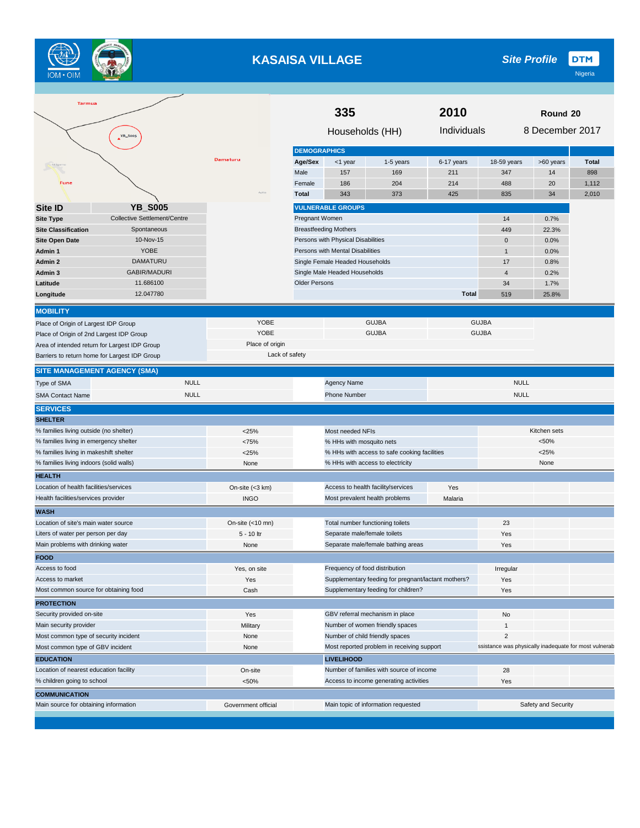

# **KASAISA VILLAGE**

**DTM** *Site Profile*

| <b>Tarmua</b>                                                                                                                                                         |                     | 335<br>2010                                |                                    |                                                     |              |                | Round 20            |                                                       |
|-----------------------------------------------------------------------------------------------------------------------------------------------------------------------|---------------------|--------------------------------------------|------------------------------------|-----------------------------------------------------|--------------|----------------|---------------------|-------------------------------------------------------|
| YB_Soo5                                                                                                                                                               |                     |                                            | Households (HH)                    |                                                     | Individuals  |                | 8 December 2017     |                                                       |
|                                                                                                                                                                       |                     | <b>DEMOGRAPHICS</b>                        |                                    |                                                     |              |                |                     |                                                       |
|                                                                                                                                                                       | Damaturu            | Age/Sex                                    | <1 year                            | 1-5 years                                           | 6-17 years   | 18-59 years    | >60 years           | <b>Total</b>                                          |
|                                                                                                                                                                       |                     | Male                                       | 157                                | 169                                                 | 211          | 347            | 14                  | 898                                                   |
| Fune                                                                                                                                                                  |                     | Female                                     | 186                                | 204                                                 | 214          | 488            | 20                  | 1,112                                                 |
|                                                                                                                                                                       |                     | <b>Total</b>                               | 343                                | 373                                                 | 425          | 835            | 34                  | 2,010                                                 |
| <b>YB_S005</b><br><b>Site ID</b>                                                                                                                                      |                     |                                            | <b>VULNERABLE GROUPS</b>           |                                                     |              |                |                     |                                                       |
| <b>Site Type</b><br>Collective Settlement/Centre                                                                                                                      |                     | Pregnant Women                             |                                    |                                                     |              | 14             | 0.7%                |                                                       |
| <b>Site Classification</b><br>Spontaneous                                                                                                                             |                     |                                            | <b>Breastfeeding Mothers</b>       |                                                     |              | 449            | 22.3%               |                                                       |
| 10-Nov-15<br><b>Site Open Date</b>                                                                                                                                    |                     |                                            | Persons with Physical Disabilities |                                                     |              | $\mathbf 0$    | 0.0%                |                                                       |
| YOBE<br>Admin 1                                                                                                                                                       |                     |                                            | Persons with Mental Disabilities   |                                                     |              | $\mathbf{1}$   | 0.0%                |                                                       |
| DAMATURU<br>Admin 2                                                                                                                                                   |                     |                                            | Single Female Headed Households    |                                                     |              | 17             | 0.8%                |                                                       |
| GABIR/MADURI<br>Admin 3                                                                                                                                               |                     |                                            | Single Male Headed Households      |                                                     |              | $\overline{4}$ | 0.2%                |                                                       |
| 11.686100<br>Latitude                                                                                                                                                 |                     | <b>Older Persons</b>                       |                                    |                                                     |              | 34             | 1.7%                |                                                       |
| 12.047780<br>Longitude                                                                                                                                                |                     |                                            |                                    |                                                     | <b>Total</b> | 519            | 25.8%               |                                                       |
| <b>MOBILITY</b>                                                                                                                                                       |                     |                                            |                                    |                                                     |              |                |                     |                                                       |
| Place of Origin of Largest IDP Group                                                                                                                                  | YOBE                |                                            |                                    | <b>GUJBA</b>                                        |              | <b>GUJBA</b>   |                     |                                                       |
| Place of Origin of 2nd Largest IDP Group                                                                                                                              | YOBE                |                                            |                                    | <b>GUJBA</b>                                        |              | <b>GUJBA</b>   |                     |                                                       |
| Area of intended return for Largest IDP Group                                                                                                                         | Place of origin     |                                            |                                    |                                                     |              |                |                     |                                                       |
| Barriers to return home for Largest IDP Group                                                                                                                         |                     | Lack of safety                             |                                    |                                                     |              |                |                     |                                                       |
| <b>SITE MANAGEMENT AGENCY (SMA)</b>                                                                                                                                   |                     |                                            |                                    |                                                     |              |                |                     |                                                       |
| <b>NULL</b><br>Type of SMA                                                                                                                                            |                     |                                            | <b>Agency Name</b>                 |                                                     |              | <b>NULL</b>    |                     |                                                       |
| <b>NULL</b><br><b>SMA Contact Name</b>                                                                                                                                |                     |                                            | <b>Phone Number</b>                |                                                     |              | <b>NULL</b>    |                     |                                                       |
| <b>SERVICES</b>                                                                                                                                                       |                     |                                            |                                    |                                                     |              |                |                     |                                                       |
| <b>SHELTER</b>                                                                                                                                                        |                     |                                            |                                    |                                                     |              |                |                     |                                                       |
| % families living outside (no shelter)                                                                                                                                | <25%                |                                            | Most needed NFIs                   |                                                     |              |                | Kitchen sets        |                                                       |
| % families living in emergency shelter                                                                                                                                | <75%                |                                            | % HHs with mosquito nets           |                                                     |              |                | < 50%               |                                                       |
| % families living in makeshift shelter                                                                                                                                | $<$ 25%             |                                            |                                    | % HHs with access to safe cooking facilities        |              |                | $<$ 25%             |                                                       |
| % families living indoors (solid walls)                                                                                                                               | None                |                                            |                                    | % HHs with access to electricity                    |              |                | None                |                                                       |
| <b>HEALTH</b>                                                                                                                                                         |                     |                                            |                                    |                                                     |              |                |                     |                                                       |
| Location of health facilities/services                                                                                                                                | On-site (<3 km)     |                                            |                                    | Access to health facility/services                  | Yes          |                |                     |                                                       |
| Health facilities/services provider                                                                                                                                   | <b>INGO</b>         |                                            |                                    | Most prevalent health problems                      | Malaria      |                |                     |                                                       |
| <b>WASH</b>                                                                                                                                                           |                     |                                            |                                    |                                                     |              |                |                     |                                                       |
| Location of site's main water source                                                                                                                                  | On-site $(<10$ mn)  |                                            |                                    | Total number functioning toilets                    |              | 23             |                     |                                                       |
| Liters of water per person per day                                                                                                                                    | 5 - 10 ltr          |                                            | Separate male/female toilets       |                                                     |              | Yes            |                     |                                                       |
| Main problems with drinking water                                                                                                                                     | None                |                                            |                                    | Separate male/female bathing areas                  |              | Yes            |                     |                                                       |
| <b>FOOD</b>                                                                                                                                                           |                     |                                            |                                    |                                                     |              |                |                     |                                                       |
| Access to food                                                                                                                                                        | Yes, on site        |                                            |                                    | Frequency of food distribution                      |              | Irregular      |                     |                                                       |
| Access to market                                                                                                                                                      | Yes                 |                                            |                                    | Supplementary feeding for pregnant/lactant mothers? |              | Yes            |                     |                                                       |
| Most common source for obtaining food                                                                                                                                 | Cash                |                                            |                                    | Supplementary feeding for children?                 |              | Yes            |                     |                                                       |
| <b>PROTECTION</b>                                                                                                                                                     |                     |                                            |                                    |                                                     |              |                |                     |                                                       |
| Security provided on-site                                                                                                                                             | Yes                 |                                            |                                    | GBV referral mechanism in place                     |              | No             |                     |                                                       |
| Main security provider                                                                                                                                                | Military            |                                            |                                    | Number of women friendly spaces                     |              | -1             |                     |                                                       |
|                                                                                                                                                                       | None                | Number of child friendly spaces            |                                    |                                                     |              | $\overline{c}$ |                     |                                                       |
|                                                                                                                                                                       |                     | Most reported problem in receiving support |                                    |                                                     |              |                |                     | ssistance was physically inadequate for most vulnerab |
|                                                                                                                                                                       | None                |                                            |                                    |                                                     |              |                |                     |                                                       |
|                                                                                                                                                                       |                     |                                            | <b>LIVELIHOOD</b>                  |                                                     |              |                |                     |                                                       |
|                                                                                                                                                                       | On-site             |                                            |                                    | Number of families with source of income            |              | 28             |                     |                                                       |
| Most common type of security incident<br>Most common type of GBV incident<br><b>EDUCATION</b><br>Location of nearest education facility<br>% children going to school | < 50%               |                                            |                                    | Access to income generating activities              |              | Yes            |                     |                                                       |
| <b>COMMUNICATION</b><br>Main source for obtaining information                                                                                                         | Government official |                                            |                                    | Main topic of information requested                 |              |                | Safety and Security |                                                       |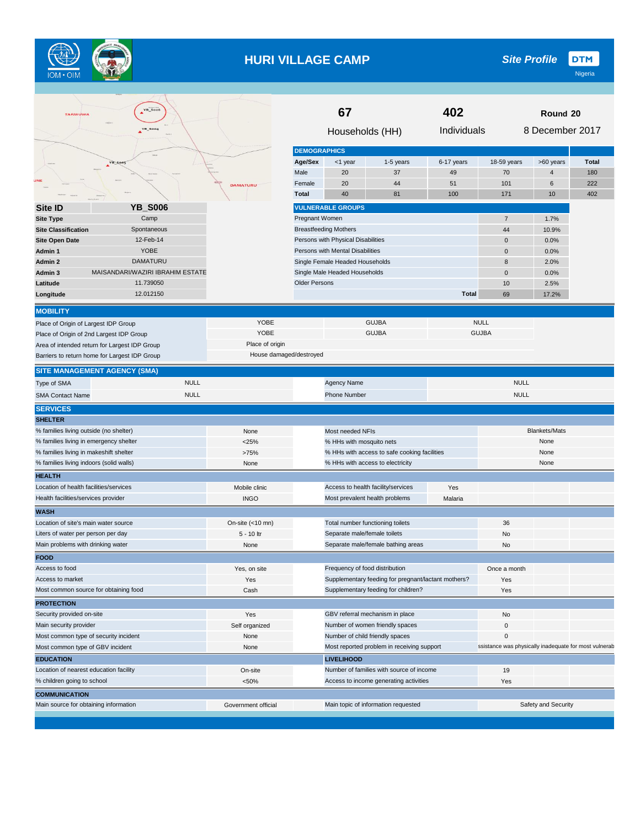

## **HURI VILLAGE CAMP**

|                                                                                                                                                                                                                                                                                                                                                                                                                                                                                                                                                                                                                                                                                                                    | <b>YB_SOO6</b>                   |                         |                          | 67                                 |                                                                                            | 402          |                                                       |                     |              |
|--------------------------------------------------------------------------------------------------------------------------------------------------------------------------------------------------------------------------------------------------------------------------------------------------------------------------------------------------------------------------------------------------------------------------------------------------------------------------------------------------------------------------------------------------------------------------------------------------------------------------------------------------------------------------------------------------------------------|----------------------------------|-------------------------|--------------------------|------------------------------------|--------------------------------------------------------------------------------------------|--------------|-------------------------------------------------------|---------------------|--------------|
| TARMUWA                                                                                                                                                                                                                                                                                                                                                                                                                                                                                                                                                                                                                                                                                                            |                                  |                         |                          |                                    |                                                                                            |              |                                                       | Round 20            |              |
|                                                                                                                                                                                                                                                                                                                                                                                                                                                                                                                                                                                                                                                                                                                    | YB_SO04                          |                         |                          | Households (HH)                    |                                                                                            | Individuals  |                                                       | 8 December 2017     |              |
|                                                                                                                                                                                                                                                                                                                                                                                                                                                                                                                                                                                                                                                                                                                    |                                  |                         | <b>DEMOGRAPHICS</b>      |                                    |                                                                                            |              |                                                       |                     |              |
|                                                                                                                                                                                                                                                                                                                                                                                                                                                                                                                                                                                                                                                                                                                    | B S                              |                         | Age/Sex                  | <1 year                            | 1-5 years                                                                                  | 6-17 years   | 18-59 years                                           | >60 years           | <b>Total</b> |
|                                                                                                                                                                                                                                                                                                                                                                                                                                                                                                                                                                                                                                                                                                                    |                                  |                         | Male                     | 20                                 | 37                                                                                         | 49           | 70                                                    | $\overline{4}$      | 180          |
|                                                                                                                                                                                                                                                                                                                                                                                                                                                                                                                                                                                                                                                                                                                    |                                  | <b>DAMATURU</b>         | Female                   | 20                                 | 44                                                                                         | 51           | 101                                                   | 6                   | 222          |
|                                                                                                                                                                                                                                                                                                                                                                                                                                                                                                                                                                                                                                                                                                                    |                                  |                         | <b>Total</b>             | 40                                 | 81                                                                                         | 100          | 171                                                   | 10                  | 402          |
| Site ID                                                                                                                                                                                                                                                                                                                                                                                                                                                                                                                                                                                                                                                                                                            | <b>YB_S006</b>                   |                         |                          | <b>VULNERABLE GROUPS</b>           |                                                                                            |              |                                                       |                     |              |
| <b>Site Type</b>                                                                                                                                                                                                                                                                                                                                                                                                                                                                                                                                                                                                                                                                                                   | Camp                             |                         | Pregnant Women           |                                    |                                                                                            |              | $\overline{7}$                                        | 1.7%                |              |
| <b>Site Classification</b>                                                                                                                                                                                                                                                                                                                                                                                                                                                                                                                                                                                                                                                                                         | Spontaneous                      |                         |                          | <b>Breastfeeding Mothers</b>       |                                                                                            |              | 44                                                    | 10.9%               |              |
| <b>Site Open Date</b>                                                                                                                                                                                                                                                                                                                                                                                                                                                                                                                                                                                                                                                                                              | 12-Feb-14                        |                         |                          | Persons with Physical Disabilities |                                                                                            |              | $\mathbf 0$                                           | 0.0%                |              |
| Admin 1                                                                                                                                                                                                                                                                                                                                                                                                                                                                                                                                                                                                                                                                                                            | <b>YOBE</b>                      |                         |                          | Persons with Mental Disabilities   |                                                                                            |              | $\mathbf 0$                                           | 0.0%                |              |
| Admin 2                                                                                                                                                                                                                                                                                                                                                                                                                                                                                                                                                                                                                                                                                                            | <b>DAMATURU</b>                  |                         |                          | Single Female Headed Households    |                                                                                            |              | 8                                                     | 2.0%                |              |
| Admin 3                                                                                                                                                                                                                                                                                                                                                                                                                                                                                                                                                                                                                                                                                                            | MAISANDARI/WAZIRI IBRAHIM ESTATE |                         |                          | Single Male Headed Households      |                                                                                            |              | $\mathbf 0$                                           | 0.0%                |              |
| Latitude                                                                                                                                                                                                                                                                                                                                                                                                                                                                                                                                                                                                                                                                                                           | 11.739050                        |                         | <b>Older Persons</b>     |                                    |                                                                                            |              | 10                                                    | 2.5%                |              |
| Longitude                                                                                                                                                                                                                                                                                                                                                                                                                                                                                                                                                                                                                                                                                                          | 12.012150                        |                         |                          |                                    |                                                                                            | <b>Total</b> | 69                                                    | 17.2%               |              |
|                                                                                                                                                                                                                                                                                                                                                                                                                                                                                                                                                                                                                                                                                                                    |                                  |                         |                          |                                    |                                                                                            |              |                                                       |                     |              |
| <b>MOBILITY</b>                                                                                                                                                                                                                                                                                                                                                                                                                                                                                                                                                                                                                                                                                                    |                                  |                         |                          |                                    |                                                                                            |              |                                                       |                     |              |
| Place of Origin of Largest IDP Group                                                                                                                                                                                                                                                                                                                                                                                                                                                                                                                                                                                                                                                                               |                                  | <b>YOBE</b>             |                          |                                    | <b>GUJBA</b>                                                                               |              | <b>NULL</b>                                           |                     |              |
| Place of Origin of 2nd Largest IDP Group                                                                                                                                                                                                                                                                                                                                                                                                                                                                                                                                                                                                                                                                           |                                  | <b>YOBE</b>             |                          |                                    | <b>GUJBA</b>                                                                               |              | <b>GUJBA</b>                                          |                     |              |
| Area of intended return for Largest IDP Group                                                                                                                                                                                                                                                                                                                                                                                                                                                                                                                                                                                                                                                                      |                                  | Place of origin         |                          |                                    |                                                                                            |              |                                                       |                     |              |
| Barriers to return home for Largest IDP Group                                                                                                                                                                                                                                                                                                                                                                                                                                                                                                                                                                                                                                                                      |                                  | House damaged/destroyed |                          |                                    |                                                                                            |              |                                                       |                     |              |
| <b>SITE MANAGEMENT AGENCY (SMA)</b>                                                                                                                                                                                                                                                                                                                                                                                                                                                                                                                                                                                                                                                                                |                                  |                         |                          |                                    |                                                                                            |              |                                                       |                     |              |
| Type of SMA                                                                                                                                                                                                                                                                                                                                                                                                                                                                                                                                                                                                                                                                                                        | <b>NULL</b>                      |                         |                          | <b>Agency Name</b>                 |                                                                                            |              | <b>NULL</b>                                           |                     |              |
| <b>SMA Contact Name</b>                                                                                                                                                                                                                                                                                                                                                                                                                                                                                                                                                                                                                                                                                            | <b>NULL</b>                      |                         |                          | <b>Phone Number</b>                |                                                                                            |              | <b>NULL</b>                                           |                     |              |
| <b>SERVICES</b>                                                                                                                                                                                                                                                                                                                                                                                                                                                                                                                                                                                                                                                                                                    |                                  |                         |                          |                                    |                                                                                            |              |                                                       |                     |              |
| <b>SHELTER</b>                                                                                                                                                                                                                                                                                                                                                                                                                                                                                                                                                                                                                                                                                                     |                                  |                         |                          |                                    |                                                                                            |              |                                                       |                     |              |
| % families living outside (no shelter)                                                                                                                                                                                                                                                                                                                                                                                                                                                                                                                                                                                                                                                                             |                                  | None                    |                          | Most needed NFIs                   |                                                                                            |              | <b>Blankets/Mats</b>                                  |                     |              |
|                                                                                                                                                                                                                                                                                                                                                                                                                                                                                                                                                                                                                                                                                                                    |                                  |                         |                          |                                    |                                                                                            |              | None                                                  |                     |              |
|                                                                                                                                                                                                                                                                                                                                                                                                                                                                                                                                                                                                                                                                                                                    |                                  | $<$ 25%                 | % HHs with mosquito nets |                                    |                                                                                            |              |                                                       |                     |              |
|                                                                                                                                                                                                                                                                                                                                                                                                                                                                                                                                                                                                                                                                                                                    |                                  | >75%                    |                          |                                    | % HHs with access to safe cooking facilities                                               |              |                                                       | None                |              |
|                                                                                                                                                                                                                                                                                                                                                                                                                                                                                                                                                                                                                                                                                                                    |                                  | None                    |                          | % HHs with access to electricity   |                                                                                            |              |                                                       | None                |              |
|                                                                                                                                                                                                                                                                                                                                                                                                                                                                                                                                                                                                                                                                                                                    |                                  |                         |                          |                                    |                                                                                            |              |                                                       |                     |              |
|                                                                                                                                                                                                                                                                                                                                                                                                                                                                                                                                                                                                                                                                                                                    |                                  | Mobile clinic           |                          | Access to health facility/services |                                                                                            | Yes          |                                                       |                     |              |
|                                                                                                                                                                                                                                                                                                                                                                                                                                                                                                                                                                                                                                                                                                                    |                                  | <b>INGO</b>             |                          | Most prevalent health problems     |                                                                                            | Malaria      |                                                       |                     |              |
|                                                                                                                                                                                                                                                                                                                                                                                                                                                                                                                                                                                                                                                                                                                    |                                  |                         |                          |                                    |                                                                                            |              |                                                       |                     |              |
|                                                                                                                                                                                                                                                                                                                                                                                                                                                                                                                                                                                                                                                                                                                    |                                  | On-site $(<10$ mn)      |                          | Total number functioning toilets   |                                                                                            |              | 36                                                    |                     |              |
|                                                                                                                                                                                                                                                                                                                                                                                                                                                                                                                                                                                                                                                                                                                    |                                  | 5 - 10 ltr              |                          | Separate male/female toilets       |                                                                                            |              | No                                                    |                     |              |
|                                                                                                                                                                                                                                                                                                                                                                                                                                                                                                                                                                                                                                                                                                                    |                                  | None                    |                          |                                    | Separate male/female bathing areas                                                         |              | No                                                    |                     |              |
|                                                                                                                                                                                                                                                                                                                                                                                                                                                                                                                                                                                                                                                                                                                    |                                  |                         |                          |                                    |                                                                                            |              |                                                       |                     |              |
|                                                                                                                                                                                                                                                                                                                                                                                                                                                                                                                                                                                                                                                                                                                    |                                  | Yes, on site            |                          | Frequency of food distribution     |                                                                                            |              | Once a month                                          |                     |              |
|                                                                                                                                                                                                                                                                                                                                                                                                                                                                                                                                                                                                                                                                                                                    |                                  |                         |                          |                                    |                                                                                            |              |                                                       |                     |              |
|                                                                                                                                                                                                                                                                                                                                                                                                                                                                                                                                                                                                                                                                                                                    |                                  | Yes<br>Cash             |                          |                                    | Supplementary feeding for pregnant/lactant mothers?<br>Supplementary feeding for children? |              | Yes<br>Yes                                            |                     |              |
|                                                                                                                                                                                                                                                                                                                                                                                                                                                                                                                                                                                                                                                                                                                    |                                  |                         |                          |                                    |                                                                                            |              |                                                       |                     |              |
|                                                                                                                                                                                                                                                                                                                                                                                                                                                                                                                                                                                                                                                                                                                    |                                  | Yes                     |                          |                                    | GBV referral mechanism in place                                                            |              | No                                                    |                     |              |
|                                                                                                                                                                                                                                                                                                                                                                                                                                                                                                                                                                                                                                                                                                                    |                                  |                         |                          |                                    | Number of women friendly spaces                                                            |              | $\pmb{0}$                                             |                     |              |
|                                                                                                                                                                                                                                                                                                                                                                                                                                                                                                                                                                                                                                                                                                                    |                                  | Self organized<br>None  |                          |                                    |                                                                                            |              | $\mathbf 0$                                           |                     |              |
|                                                                                                                                                                                                                                                                                                                                                                                                                                                                                                                                                                                                                                                                                                                    |                                  | None                    |                          | Number of child friendly spaces    | Most reported problem in receiving support                                                 |              | ssistance was physically inadequate for most vulnerab |                     |              |
|                                                                                                                                                                                                                                                                                                                                                                                                                                                                                                                                                                                                                                                                                                                    |                                  |                         |                          |                                    |                                                                                            |              |                                                       |                     |              |
|                                                                                                                                                                                                                                                                                                                                                                                                                                                                                                                                                                                                                                                                                                                    |                                  |                         |                          | <b>LIVELIHOOD</b>                  |                                                                                            |              |                                                       |                     |              |
|                                                                                                                                                                                                                                                                                                                                                                                                                                                                                                                                                                                                                                                                                                                    |                                  | On-site                 |                          |                                    | Number of families with source of income                                                   |              | 19                                                    |                     |              |
| % families living in emergency shelter<br>% families living in makeshift shelter<br>% families living indoors (solid walls)<br><b>HEALTH</b><br>Location of health facilities/services<br>Health facilities/services provider<br><b>WASH</b><br>Location of site's main water source<br>Liters of water per person per day<br>Main problems with drinking water<br><b>FOOD</b><br>Access to food<br>Access to market<br>Most common source for obtaining food<br><b>PROTECTION</b><br>Security provided on-site<br>Main security provider<br>Most common type of security incident<br>Most common type of GBV incident<br><b>EDUCATION</b><br>Location of nearest education facility<br>% children going to school |                                  | < 50%                   |                          |                                    | Access to income generating activities                                                     |              | Yes                                                   |                     |              |
| <b>COMMUNICATION</b><br>Main source for obtaining information                                                                                                                                                                                                                                                                                                                                                                                                                                                                                                                                                                                                                                                      |                                  | Government official     |                          |                                    | Main topic of information requested                                                        |              |                                                       | Safety and Security |              |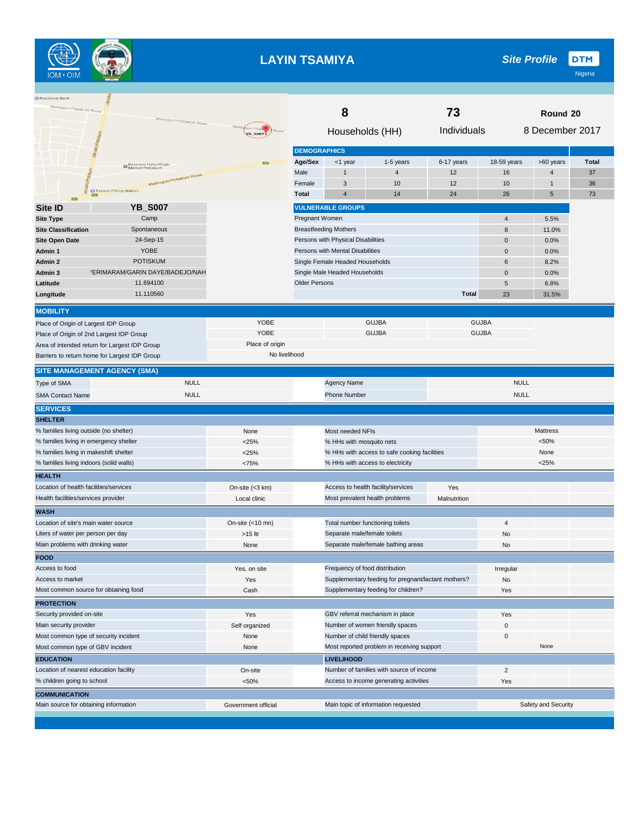

## **LAYIN TSAMIYA**

| <b>□ Keystone Bank</b><br>Malduguri-Potlskum Road | Malduguri-Potiskum Road                       |                               | 8<br>73                                    |                                    |                                                     |              |                | Round 20            |       |
|---------------------------------------------------|-----------------------------------------------|-------------------------------|--------------------------------------------|------------------------------------|-----------------------------------------------------|--------------|----------------|---------------------|-------|
|                                                   |                                               | Misic<br>guri-Poti<br>YB_S007 |                                            | Households (HH)                    |                                                     | Individuals  |                | 8 December 2017     |       |
|                                                   |                                               |                               | <b>DEMOGRAPHICS</b>                        |                                    |                                                     |              |                |                     |       |
|                                                   | Kasuwar Hatsi/Grain<br>Market Potiskum        |                               | Age/Sex                                    | <1 year                            | 1-5 years                                           | 6-17 years   | 18-59 years    | >60 years           | Total |
|                                                   | Maldugun-Potiskum Road                        |                               | Male                                       | 1                                  | $\overline{4}$                                      | 12           | 16             | 4                   | 37    |
|                                                   | O Texaco Filling Station                      |                               | Female                                     | 3                                  | 10                                                  | 12           | 10             | $\mathbf{1}$        | 36    |
| <b>ISSN</b>                                       |                                               |                               | <b>Total</b>                               | $\overline{4}$                     | 14                                                  | 24           | 26             | 5                   | 73    |
| <b>Site ID</b>                                    | <b>YB S007</b>                                |                               |                                            | <b>VULNERABLE GROUPS</b>           |                                                     |              |                |                     |       |
| <b>Site Type</b>                                  | Camp                                          |                               | Pregnant Women                             |                                    |                                                     |              | $\overline{4}$ | 5.5%                |       |
| <b>Site Classification</b>                        | Spontaneous                                   |                               |                                            | <b>Breastfeeding Mothers</b>       |                                                     |              | 8              | 11.0%               |       |
| <b>Site Open Date</b>                             | 24-Sep-15                                     |                               |                                            | Persons with Physical Disabilities |                                                     |              | $\mathbf 0$    | 0.0%                |       |
| Admin 1                                           | YOBE                                          |                               |                                            | Persons with Mental Disabilities   |                                                     |              | $\mathbf 0$    | 0.0%                |       |
| Admin 2                                           | <b>POTISKUM</b>                               |                               |                                            | Single Female Headed Households    |                                                     |              | 6              | 8.2%                |       |
| Admin 3                                           | 'ERIMARAM/GARIN DAYE/BADEJO/NAH               |                               |                                            | Single Male Headed Households      |                                                     |              | $\mathbf 0$    | 0.0%                |       |
| Latitude                                          | 11.694100                                     |                               | <b>Older Persons</b>                       |                                    |                                                     |              | 5              | 6.8%                |       |
| Longitude                                         | 11.110560                                     |                               |                                            |                                    |                                                     | <b>Total</b> | 23             | 31.5%               |       |
| <b>MOBILITY</b>                                   |                                               |                               |                                            |                                    |                                                     |              |                |                     |       |
|                                                   | Place of Origin of Largest IDP Group          | YOBE                          |                                            |                                    | <b>GUJBA</b>                                        |              | <b>GUJBA</b>   |                     |       |
|                                                   | Place of Origin of 2nd Largest IDP Group      | YOBE                          |                                            |                                    | <b>GUJBA</b>                                        |              | <b>GUJBA</b>   |                     |       |
|                                                   | Area of intended return for Largest IDP Group | Place of origin               |                                            |                                    |                                                     |              |                |                     |       |
|                                                   | Barriers to return home for Largest IDP Group | No livelihood                 |                                            |                                    |                                                     |              |                |                     |       |
|                                                   | <b>SITE MANAGEMENT AGENCY (SMA)</b>           |                               |                                            |                                    |                                                     |              |                |                     |       |
| Type of SMA                                       | <b>NULL</b>                                   |                               |                                            | Agency Name                        |                                                     |              | <b>NULL</b>    |                     |       |
| <b>SMA Contact Name</b>                           | <b>NULL</b>                                   |                               |                                            | <b>Phone Number</b>                |                                                     |              | <b>NULL</b>    |                     |       |
| <b>SERVICES</b>                                   |                                               |                               |                                            |                                    |                                                     |              |                |                     |       |
| <b>SHELTER</b>                                    |                                               |                               |                                            |                                    |                                                     |              |                |                     |       |
| % families living outside (no shelter)            |                                               | None                          |                                            | Most needed NFIs                   |                                                     |              |                | <b>Mattress</b>     |       |
|                                                   | % families living in emergency shelter        | $<$ 25%                       |                                            | % HHs with mosquito nets           |                                                     |              |                |                     |       |
| % families living in makeshift shelter            |                                               | $<$ 25%                       |                                            |                                    | % HHs with access to safe cooking facilities        |              |                | None                |       |
|                                                   | % families living indoors (solid walls)       | <75%                          |                                            |                                    | % HHs with access to electricity                    |              |                | < 25%               |       |
| <b>HEALTH</b>                                     |                                               |                               |                                            |                                    |                                                     |              |                |                     |       |
| Location of health facilities/services            |                                               | On-site $(<3$ km)             |                                            |                                    | Access to health facility/services                  | Yes          |                |                     |       |
| Health facilities/services provider               |                                               | Local clinic                  |                                            |                                    | Most prevalent health problems                      | Malnutrition |                |                     |       |
| <b>WASH</b>                                       |                                               |                               |                                            |                                    |                                                     |              |                |                     |       |
| Location of site's main water source              |                                               | On-site $(<10$ mn)            |                                            |                                    | Total number functioning toilets                    |              | $\overline{4}$ |                     |       |
| Liters of water per person per day                |                                               | >15 ltr                       |                                            | Separate male/female toilets       |                                                     |              | No             |                     |       |
| Main problems with drinking water                 |                                               | None                          |                                            |                                    | Separate male/female bathing areas                  |              | No             |                     |       |
| <b>FOOD</b>                                       |                                               |                               |                                            |                                    |                                                     |              |                |                     |       |
| Access to food                                    |                                               | Yes, on site                  |                                            | Frequency of food distribution     |                                                     |              | Irregular      |                     |       |
| Access to market                                  |                                               | Yes                           |                                            |                                    | Supplementary feeding for pregnant/lactant mothers? |              | No             |                     |       |
|                                                   | Most common source for obtaining food         | Cash                          |                                            |                                    | Supplementary feeding for children?                 |              | Yes            |                     |       |
| <b>PROTECTION</b>                                 |                                               |                               |                                            |                                    |                                                     |              |                |                     |       |
| Security provided on-site                         |                                               | Yes                           |                                            |                                    | GBV referral mechanism in place                     |              | Yes            |                     |       |
| Main security provider                            |                                               | Self organized                |                                            |                                    | Number of women friendly spaces                     |              | $\mathbf 0$    |                     |       |
|                                                   | Most common type of security incident         | None                          |                                            |                                    | Number of child friendly spaces                     |              | $\pmb{0}$      |                     |       |
| Most common type of GBV incident                  |                                               | None                          | Most reported problem in receiving support |                                    |                                                     |              |                | None                |       |
| <b>EDUCATION</b>                                  |                                               |                               | <b>LIVELIHOOD</b>                          |                                    |                                                     |              |                |                     |       |
|                                                   | Location of nearest education facility        | On-site                       |                                            |                                    | Number of families with source of income            |              | $\overline{2}$ |                     |       |
| % children going to school                        |                                               | < 50%                         |                                            |                                    | Access to income generating activities              |              | Yes            |                     |       |
| <b>COMMUNICATION</b>                              |                                               |                               |                                            |                                    |                                                     |              |                |                     |       |
|                                                   | Main source for obtaining information         | Government official           |                                            |                                    | Main topic of information requested                 |              |                | Safety and Security |       |
|                                                   |                                               |                               |                                            |                                    |                                                     |              |                |                     |       |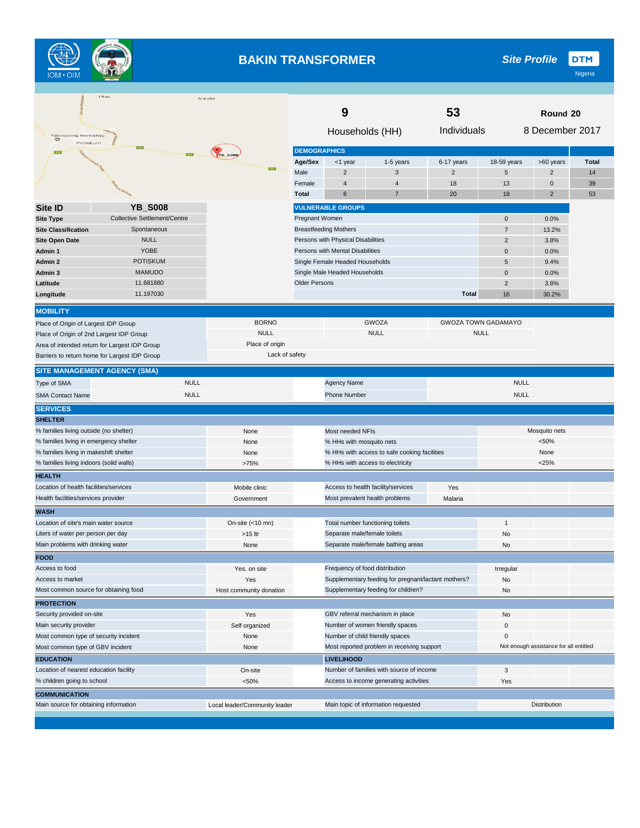

#### **BAKIN TRANSFORMER**

|                                          | FIRBU                                         | Alaraba                       |                                                       | 9                                  |                                                     | 53             | Round 20                      |                                        |       |
|------------------------------------------|-----------------------------------------------|-------------------------------|-------------------------------------------------------|------------------------------------|-----------------------------------------------------|----------------|-------------------------------|----------------------------------------|-------|
| <b>Fabricating WorkShop</b>              |                                               |                               |                                                       | Households (HH)                    |                                                     | Individuals    |                               | 8 December 2017                        |       |
| Potiskum                                 |                                               |                               | <b>DEMOGRAPHICS</b>                                   |                                    |                                                     |                |                               |                                        |       |
|                                          | $\overline{252}$                              | <b>YB_SOOB</b>                | Age/Sex                                               | <1 year                            | 1-5 years                                           | 6-17 years     | 18-59 years                   | >60 years                              | Total |
|                                          |                                               | AST                           | Male                                                  | $\overline{2}$                     | 3                                                   | $\overline{2}$ | 5                             | $\overline{2}$                         | 14    |
|                                          |                                               |                               | Female                                                | $\overline{4}$                     | $\overline{4}$                                      | 18             | 13                            | $\mathbf 0$                            | 39    |
|                                          |                                               |                               | <b>Total</b>                                          | 6                                  | $\overline{7}$                                      | 20             | 18                            | $\overline{2}$                         | 53    |
|                                          | <b>YB_S008</b>                                |                               |                                                       |                                    |                                                     |                |                               |                                        |       |
| <b>Site ID</b>                           | <b>Collective Settlement/Centre</b>           |                               |                                                       | <b>VULNERABLE GROUPS</b>           |                                                     |                |                               |                                        |       |
| <b>Site Type</b>                         | Spontaneous                                   |                               | Pregnant Women                                        | <b>Breastfeeding Mothers</b>       |                                                     |                | $\mathbf 0$<br>$\overline{7}$ | 0.0%<br>13.2%                          |       |
| <b>Site Classification</b>               | <b>NULL</b>                                   |                               |                                                       | Persons with Physical Disabilities |                                                     |                | $\overline{2}$                |                                        |       |
| <b>Site Open Date</b><br>Admin 1         | <b>YOBE</b>                                   |                               |                                                       | Persons with Mental Disabilities   |                                                     |                | $\mathbf 0$                   | 3.8%<br>0.0%                           |       |
| Admin 2                                  | <b>POTISKUM</b>                               |                               |                                                       |                                    |                                                     |                | 5                             | 9.4%                                   |       |
| Admin 3                                  | <b>MAMUDO</b>                                 |                               |                                                       | Single Female Headed Households    |                                                     |                | $\mathbf 0$                   | 0.0%                                   |       |
| Latitude                                 | 11.681880                                     |                               | Single Male Headed Households<br><b>Older Persons</b> |                                    |                                                     |                | $\overline{2}$                |                                        |       |
|                                          | 11.197030                                     |                               |                                                       |                                    |                                                     | <b>Total</b>   |                               | 3.8%                                   |       |
| Longitude                                |                                               |                               |                                                       |                                    |                                                     |                | 16                            | 30.2%                                  |       |
| <b>MOBILITY</b>                          |                                               |                               |                                                       |                                    |                                                     |                |                               |                                        |       |
| Place of Origin of Largest IDP Group     |                                               | <b>BORNO</b>                  |                                                       |                                    | <b>GWOZA</b>                                        |                | <b>GWOZA TOWN GADAMAYO</b>    |                                        |       |
| Place of Origin of 2nd Largest IDP Group |                                               | <b>NULL</b>                   |                                                       |                                    | <b>NULL</b>                                         |                | <b>NULL</b>                   |                                        |       |
|                                          | Area of intended return for Largest IDP Group | Place of origin               |                                                       |                                    |                                                     |                |                               |                                        |       |
|                                          | Barriers to return home for Largest IDP Group | Lack of safety                |                                                       |                                    |                                                     |                |                               |                                        |       |
|                                          | <b>SITE MANAGEMENT AGENCY (SMA)</b>           |                               |                                                       |                                    |                                                     |                |                               |                                        |       |
| Type of SMA                              | <b>NULL</b>                                   |                               |                                                       | Agency Name                        |                                                     |                | <b>NULL</b>                   |                                        |       |
| <b>SMA Contact Name</b>                  | <b>NULL</b>                                   |                               |                                                       | <b>Phone Number</b>                |                                                     |                | <b>NULL</b>                   |                                        |       |
| <b>SERVICES</b>                          |                                               |                               |                                                       |                                    |                                                     |                |                               |                                        |       |
| <b>SHELTER</b>                           |                                               |                               |                                                       |                                    |                                                     |                |                               |                                        |       |
| % families living outside (no shelter)   |                                               | None                          |                                                       | Most needed NFIs                   |                                                     |                |                               | Mosquito nets                          |       |
| % families living in emergency shelter   |                                               | None                          |                                                       | % HHs with mosquito nets           |                                                     |                |                               | < 50%                                  |       |
| % families living in makeshift shelter   |                                               | None                          |                                                       |                                    | % HHs with access to safe cooking facilities        |                |                               | None                                   |       |
| % families living indoors (solid walls)  |                                               | >75%                          |                                                       |                                    | % HHs with access to electricity                    |                |                               | < 25%                                  |       |
| <b>HEALTH</b>                            |                                               |                               |                                                       |                                    |                                                     |                |                               |                                        |       |
| Location of health facilities/services   |                                               | Mobile clinic                 |                                                       |                                    | Access to health facility/services                  | Yes            |                               |                                        |       |
| Health facilities/services provider      |                                               | Government                    |                                                       |                                    | Most prevalent health problems                      | Malaria        |                               |                                        |       |
| <b>WASH</b>                              |                                               |                               |                                                       |                                    |                                                     |                |                               |                                        |       |
| Location of site's main water source     |                                               | On-site (<10 mn)              |                                                       |                                    | Total number functioning toilets                    |                | $\mathbf{1}$                  |                                        |       |
| Liters of water per person per day       |                                               | >15 ltr                       |                                                       | Separate male/female toilets       |                                                     |                | No                            |                                        |       |
| Main problems with drinking water        |                                               | None                          |                                                       |                                    | Separate male/female bathing areas                  |                | No                            |                                        |       |
| <b>FOOD</b>                              |                                               |                               |                                                       |                                    |                                                     |                |                               |                                        |       |
| Access to food                           |                                               | Yes, on site                  |                                                       | Frequency of food distribution     |                                                     |                | Irregular                     |                                        |       |
| Access to market                         |                                               | Yes                           |                                                       |                                    | Supplementary feeding for pregnant/lactant mothers? |                | No                            |                                        |       |
| Most common source for obtaining food    |                                               | Host community donation       |                                                       |                                    | Supplementary feeding for children?                 |                | No                            |                                        |       |
| <b>PROTECTION</b>                        |                                               |                               |                                                       |                                    |                                                     |                |                               |                                        |       |
| Security provided on-site                |                                               | Yes                           |                                                       |                                    | GBV referral mechanism in place                     |                | No                            |                                        |       |
| Main security provider                   |                                               | Self organized                |                                                       |                                    | Number of women friendly spaces                     |                | $\mathsf{O}\xspace$           |                                        |       |
| Most common type of security incident    |                                               | None                          |                                                       |                                    | Number of child friendly spaces                     |                | $\mathbf 0$                   |                                        |       |
| Most common type of GBV incident         |                                               | None                          | Most reported problem in receiving support            |                                    |                                                     |                |                               | Not enough assistance for all entitled |       |
| <b>EDUCATION</b>                         |                                               |                               |                                                       | <b>LIVELIHOOD</b>                  |                                                     |                |                               |                                        |       |
| Location of nearest education facility   |                                               | On-site                       |                                                       |                                    | Number of families with source of income            |                | 3                             |                                        |       |
| % children going to school               |                                               | < 50%                         |                                                       |                                    | Access to income generating activities              |                | Yes                           |                                        |       |
| <b>COMMUNICATION</b>                     |                                               |                               |                                                       |                                    |                                                     |                |                               |                                        |       |
| Main source for obtaining information    |                                               | Local leader/Community leader |                                                       |                                    |                                                     |                |                               | <b>Distribution</b>                    |       |
|                                          |                                               |                               | Main topic of information requested                   |                                    |                                                     |                |                               |                                        |       |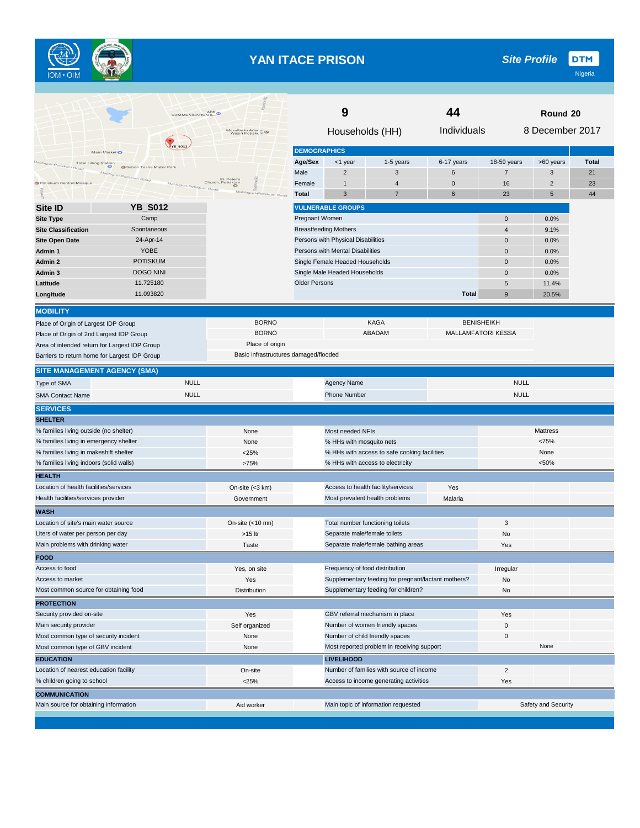

# **YAN ITACE PRISON**

|                                                                               |                          | COMMUNICATION &                       |                      | 9                                  |                                                     | 44           |                           | Round 20            |              |
|-------------------------------------------------------------------------------|--------------------------|---------------------------------------|----------------------|------------------------------------|-----------------------------------------------------|--------------|---------------------------|---------------------|--------------|
|                                                                               |                          | Masallacin Adamu<br>Waziri Potiskum   |                      | Households (HH)                    |                                                     | Individuals  |                           | 8 December 2017     |              |
| Main Market                                                                   | YB_S012                  |                                       | <b>DEMOGRAPHICS</b>  |                                    |                                                     |              |                           |                     |              |
| <b>Total Filling Station</b><br>iduguri-Potiskum<br>$\circ$<br>R <sub>1</sub> | C Sabon Tasha Motor Park |                                       | Age/Sex              | <1 year                            | 1-5 years                                           | 6-17 years   | 18-59 years               | >60 years           | <b>Total</b> |
|                                                                               | un Road                  |                                       | Male                 | $\overline{2}$                     | 3                                                   | 6            | $\overline{7}$            | 3                   | 21           |
| <b>G</b> Potiskum Central Mosque                                              | Maiduguri-Potiskum Road  | St. Peter's<br>Church, Potiskum       | Female               | $\mathbf{1}$                       | $\overline{4}$                                      | $\mathbf 0$  | 16                        | $\overline{c}$      | 23           |
|                                                                               |                          | um Roar                               | <b>Total</b>         | 3                                  | $\overline{7}$                                      | 6            | 23                        | 5                   | 44           |
| <b>Site ID</b>                                                                | <b>YB_S012</b>           |                                       |                      | <b>VULNERABLE GROUPS</b>           |                                                     |              |                           |                     |              |
| <b>Site Type</b>                                                              | Camp                     |                                       | Pregnant Women       |                                    |                                                     |              | $\mathbf 0$               | 0.0%                |              |
| <b>Site Classification</b>                                                    | Spontaneous              |                                       |                      | <b>Breastfeeding Mothers</b>       |                                                     |              | $\overline{4}$            | 9.1%                |              |
| <b>Site Open Date</b>                                                         | 24-Apr-14                |                                       |                      | Persons with Physical Disabilities |                                                     |              | 0                         | 0.0%                |              |
| Admin 1                                                                       | <b>YOBE</b>              |                                       |                      | Persons with Mental Disabilities   |                                                     |              | $\pmb{0}$                 | 0.0%                |              |
| Admin 2                                                                       | <b>POTISKUM</b>          |                                       |                      | Single Female Headed Households    |                                                     |              | $\mathbf 0$               | 0.0%                |              |
| Admin 3                                                                       | <b>DOGO NINI</b>         |                                       |                      | Single Male Headed Households      |                                                     |              | $\mathbf 0$               | 0.0%                |              |
| Latitude                                                                      | 11.725180<br>11.093820   |                                       | <b>Older Persons</b> |                                    |                                                     | <b>Total</b> | 5                         | 11.4%               |              |
| Longitude                                                                     |                          |                                       |                      |                                    |                                                     |              | 9                         | 20.5%               |              |
| <b>MOBILITY</b>                                                               |                          |                                       |                      |                                    |                                                     |              |                           |                     |              |
| Place of Origin of Largest IDP Group                                          |                          | <b>BORNO</b>                          |                      |                                    | <b>KAGA</b>                                         |              | <b>BENISHEIKH</b>         |                     |              |
| Place of Origin of 2nd Largest IDP Group                                      |                          | <b>BORNO</b>                          |                      |                                    | ABADAM                                              |              | <b>MALLAMFATORI KESSA</b> |                     |              |
| Area of intended return for Largest IDP Group                                 |                          | Place of origin                       |                      |                                    |                                                     |              |                           |                     |              |
| Barriers to return home for Largest IDP Group                                 |                          | Basic infrastructures damaged/flooded |                      |                                    |                                                     |              |                           |                     |              |
| <b>SITE MANAGEMENT AGENCY (SMA)</b>                                           |                          |                                       |                      |                                    |                                                     |              |                           |                     |              |
| Type of SMA                                                                   | <b>NULL</b>              |                                       |                      | Agency Name                        |                                                     |              | <b>NULL</b>               |                     |              |
| <b>SMA Contact Name</b>                                                       | <b>NULL</b>              |                                       |                      | <b>Phone Number</b>                |                                                     |              | <b>NULL</b>               |                     |              |
| <b>SERVICES</b>                                                               |                          |                                       |                      |                                    |                                                     |              |                           |                     |              |
| <b>SHELTER</b>                                                                |                          |                                       |                      |                                    |                                                     |              |                           |                     |              |
| % families living outside (no shelter)                                        |                          | None                                  |                      | Most needed NFIs                   |                                                     |              |                           | Mattress            |              |
| % families living in emergency shelter                                        |                          | None                                  |                      | % HHs with mosquito nets           |                                                     |              |                           | <75%                |              |
| % families living in makeshift shelter                                        |                          | $<$ 25%                               |                      |                                    | % HHs with access to safe cooking facilities        |              |                           | None                |              |
| % families living indoors (solid walls)                                       |                          | >75%                                  |                      |                                    | % HHs with access to electricity                    |              |                           | < 50%               |              |
| <b>HEALTH</b>                                                                 |                          |                                       |                      |                                    |                                                     |              |                           |                     |              |
| Location of health facilities/services                                        |                          | On-site $(<3$ km)                     |                      |                                    | Access to health facility/services                  | Yes          |                           |                     |              |
| Health facilities/services provider                                           |                          | Government                            |                      |                                    | Most prevalent health problems                      | Malaria      |                           |                     |              |
| <b>WASH</b>                                                                   |                          |                                       |                      |                                    |                                                     |              |                           |                     |              |
| Location of site's main water source                                          |                          | On-site $(< 10$ mn)                   |                      |                                    | Total number functioning toilets                    |              | 3                         |                     |              |
| Liters of water per person per day                                            |                          | $>15$ ltr                             |                      | Separate male/female toilets       |                                                     |              | No                        |                     |              |
| Main problems with drinking water                                             |                          | Taste                                 |                      |                                    | Separate male/female bathing areas                  |              | Yes                       |                     |              |
| <b>FOOD</b>                                                                   |                          |                                       |                      |                                    |                                                     |              |                           |                     |              |
| Access to food                                                                |                          | Yes, on site                          |                      | Frequency of food distribution     |                                                     |              | Irregular                 |                     |              |
| Access to market                                                              |                          | Yes                                   |                      |                                    | Supplementary feeding for pregnant/lactant mothers? |              | No                        |                     |              |
| Most common source for obtaining food                                         |                          | <b>Distribution</b>                   |                      |                                    | Supplementary feeding for children?                 |              | No                        |                     |              |
| <b>PROTECTION</b>                                                             |                          |                                       |                      |                                    |                                                     |              |                           |                     |              |
| Security provided on-site                                                     |                          | Yes                                   |                      |                                    | GBV referral mechanism in place                     |              | Yes                       |                     |              |
| Main security provider                                                        |                          | Self organized                        |                      |                                    | Number of women friendly spaces                     |              | 0                         |                     |              |
| Most common type of security incident                                         |                          | None                                  |                      |                                    | Number of child friendly spaces                     |              | 0                         |                     |              |
| Most common type of GBV incident                                              |                          | None                                  |                      |                                    | Most reported problem in receiving support          |              |                           | None                |              |
| <b>EDUCATION</b>                                                              |                          |                                       |                      | <b>LIVELIHOOD</b>                  |                                                     |              |                           |                     |              |
| Location of nearest education facility                                        |                          | On-site                               |                      |                                    | Number of families with source of income            |              | 2                         |                     |              |
| % children going to school                                                    |                          | $<$ 25%                               |                      |                                    | Access to income generating activities              |              | Yes                       |                     |              |
| <b>COMMUNICATION</b>                                                          |                          |                                       |                      |                                    |                                                     |              |                           |                     |              |
| Main source for obtaining information                                         |                          | Aid worker                            |                      |                                    | Main topic of information requested                 |              |                           | Safety and Security |              |
|                                                                               |                          |                                       |                      |                                    |                                                     |              |                           |                     |              |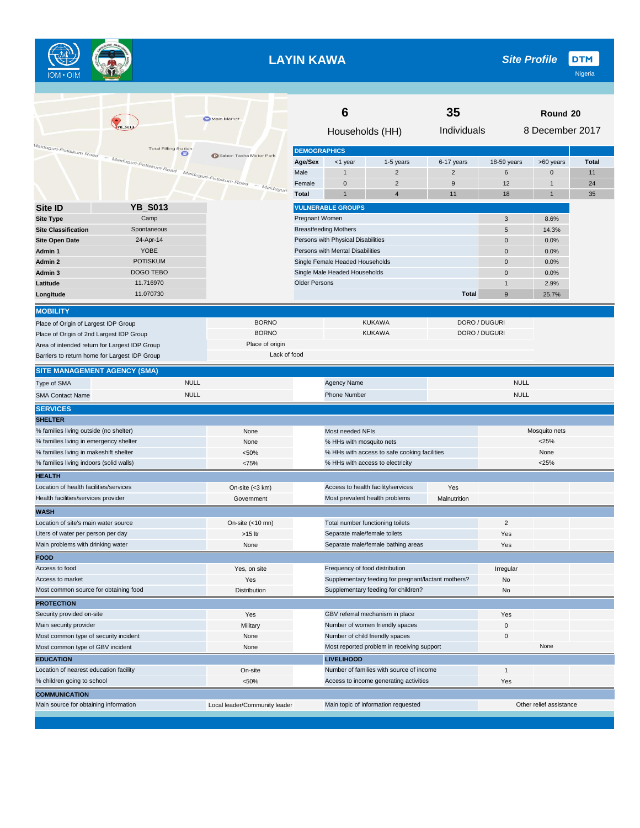

## **LAYIN KAWA**

|                                                               |                                   | Main Market                             | 35<br>6                             |                                    |                                                     |                |                         | Round 20        |              |
|---------------------------------------------------------------|-----------------------------------|-----------------------------------------|-------------------------------------|------------------------------------|-----------------------------------------------------|----------------|-------------------------|-----------------|--------------|
|                                                               |                                   |                                         |                                     | Households (HH)                    |                                                     | Individuals    |                         | 8 December 2017 |              |
| Maiduguri-Potiskum Road — Maiduguri-Potiskum Road             | <b>Total Filling Station</b><br>œ |                                         | <b>DEMOGRAPHICS</b>                 |                                    |                                                     |                |                         |                 |              |
|                                                               |                                   | <b>D</b> Sabon Tasha Motor Park         | Age/Sex                             | <1 year                            | 1-5 years                                           | 6-17 years     | 18-59 years             | >60 years       | <b>Total</b> |
|                                                               |                                   |                                         | Male                                | 1                                  | $\overline{2}$                                      | $\overline{2}$ | 6                       | $\mathbf 0$     | 11           |
|                                                               |                                   | Maiduguri-Potiskum Road<br>- Maiduguri. | Female                              | $\mathbf 0$                        | $\overline{2}$                                      | 9              | 12                      | $\overline{1}$  | 24           |
|                                                               |                                   |                                         | <b>Total</b>                        | 1                                  | $\overline{4}$                                      | 11             | 18                      | $\mathbf{1}$    | 35           |
| <b>Site ID</b>                                                | <b>YB_S013</b>                    |                                         |                                     | <b>VULNERABLE GROUPS</b>           |                                                     |                |                         |                 |              |
| <b>Site Type</b>                                              | Camp                              |                                         | Pregnant Women                      |                                    |                                                     |                | 3                       | 8.6%            |              |
| <b>Site Classification</b>                                    | Spontaneous                       |                                         |                                     | <b>Breastfeeding Mothers</b>       |                                                     |                | 5                       | 14.3%           |              |
| <b>Site Open Date</b>                                         | 24-Apr-14                         |                                         |                                     | Persons with Physical Disabilities |                                                     |                | $\mathbf 0$             | 0.0%            |              |
| Admin 1                                                       | <b>YOBE</b>                       |                                         |                                     | Persons with Mental Disabilities   |                                                     |                | $\pmb{0}$               | 0.0%            |              |
| Admin 2                                                       | <b>POTISKUM</b>                   |                                         |                                     | Single Female Headed Households    |                                                     |                | $\mathbf 0$             | 0.0%            |              |
| Admin 3                                                       | DOGO TEBO                         |                                         |                                     | Single Male Headed Households      |                                                     |                | $\mathbf 0$             | 0.0%            |              |
| Latitude                                                      | 11.716970                         |                                         | <b>Older Persons</b>                |                                    |                                                     |                | $\mathbf{1}$            | 2.9%            |              |
| Longitude                                                     | 11.070730                         |                                         |                                     |                                    |                                                     | <b>Total</b>   | 9                       | 25.7%           |              |
|                                                               |                                   |                                         |                                     |                                    |                                                     |                |                         |                 |              |
| <b>MOBILITY</b>                                               |                                   |                                         |                                     |                                    |                                                     |                |                         |                 |              |
| Place of Origin of Largest IDP Group                          |                                   | <b>BORNO</b>                            |                                     |                                    | <b>KUKAWA</b>                                       |                | DORO / DUGURI           |                 |              |
| Place of Origin of 2nd Largest IDP Group                      |                                   | <b>BORNO</b>                            |                                     |                                    | <b>KUKAWA</b>                                       |                | DORO / DUGURI           |                 |              |
| Area of intended return for Largest IDP Group                 |                                   | Place of origin                         |                                     |                                    |                                                     |                |                         |                 |              |
| Barriers to return home for Largest IDP Group                 |                                   | Lack of food                            |                                     |                                    |                                                     |                |                         |                 |              |
| <b>SITE MANAGEMENT AGENCY (SMA)</b>                           |                                   |                                         |                                     |                                    |                                                     |                |                         |                 |              |
| Type of SMA                                                   | <b>NULL</b>                       |                                         |                                     | Agency Name                        |                                                     |                | <b>NULL</b>             |                 |              |
| <b>SMA Contact Name</b>                                       | <b>NULL</b>                       |                                         |                                     | <b>Phone Number</b>                |                                                     |                | <b>NULL</b>             |                 |              |
| <b>SERVICES</b>                                               |                                   |                                         |                                     |                                    |                                                     |                |                         |                 |              |
| <b>SHELTER</b>                                                |                                   |                                         |                                     |                                    |                                                     |                |                         |                 |              |
| % families living outside (no shelter)                        |                                   | None                                    |                                     | Most needed NFIs                   |                                                     |                |                         | Mosquito nets   |              |
| % families living in emergency shelter                        |                                   | None                                    |                                     | % HHs with mosquito nets           |                                                     |                |                         | $<$ 25%         |              |
| % families living in makeshift shelter                        |                                   | < 50%                                   |                                     |                                    | % HHs with access to safe cooking facilities        |                |                         | None            |              |
| % families living indoors (solid walls)                       |                                   | <75%                                    |                                     |                                    | % HHs with access to electricity                    |                |                         | $<$ 25%         |              |
| <b>HEALTH</b>                                                 |                                   |                                         |                                     |                                    |                                                     |                |                         |                 |              |
| Location of health facilities/services                        |                                   | On-site (<3 km)                         |                                     |                                    | Access to health facility/services                  | Yes            |                         |                 |              |
| Health facilities/services provider                           |                                   | Government                              |                                     |                                    | Most prevalent health problems                      | Malnutrition   |                         |                 |              |
| <b>WASH</b>                                                   |                                   |                                         |                                     |                                    |                                                     |                |                         |                 |              |
| Location of site's main water source                          |                                   | On-site (<10 mn)                        |                                     |                                    | Total number functioning toilets                    |                | $\overline{2}$          |                 |              |
| Liters of water per person per day                            |                                   | >15 ltr                                 |                                     | Separate male/female toilets       |                                                     |                | Yes                     |                 |              |
| Main problems with drinking water                             |                                   | None                                    |                                     |                                    | Separate male/female bathing areas                  |                | Yes                     |                 |              |
| <b>FOOD</b>                                                   |                                   |                                         |                                     |                                    |                                                     |                |                         |                 |              |
| Access to food                                                |                                   | Yes, on site                            |                                     | Frequency of food distribution     |                                                     |                | Irregular               |                 |              |
| Access to market                                              |                                   | Yes                                     |                                     |                                    | Supplementary feeding for pregnant/lactant mothers? |                | No                      |                 |              |
| Most common source for obtaining food                         |                                   | Distribution                            |                                     |                                    | Supplementary feeding for children?                 |                | No                      |                 |              |
| <b>PROTECTION</b>                                             |                                   |                                         |                                     |                                    |                                                     |                |                         |                 |              |
| Security provided on-site                                     |                                   | Yes                                     |                                     |                                    | GBV referral mechanism in place                     |                | Yes                     |                 |              |
| Main security provider                                        |                                   | Military                                |                                     |                                    | Number of women friendly spaces                     |                | 0                       |                 |              |
| Most common type of security incident                         |                                   | None                                    |                                     |                                    | Number of child friendly spaces                     |                | 0                       |                 |              |
| Most common type of GBV incident                              |                                   | None                                    |                                     |                                    | Most reported problem in receiving support          |                |                         | None            |              |
| <b>EDUCATION</b>                                              |                                   |                                         |                                     | <b>LIVELIHOOD</b>                  |                                                     |                |                         |                 |              |
| Location of nearest education facility                        |                                   | On-site                                 |                                     |                                    | Number of families with source of income            |                | $\mathbf{1}$            |                 |              |
| % children going to school                                    |                                   | < 50%                                   |                                     |                                    | Access to income generating activities              |                | Yes                     |                 |              |
|                                                               |                                   |                                         |                                     |                                    |                                                     |                |                         |                 |              |
| <b>COMMUNICATION</b><br>Main source for obtaining information |                                   | Local leader/Community leader           | Main topic of information requested |                                    |                                                     |                | Other relief assistance |                 |              |
|                                                               |                                   |                                         |                                     |                                    |                                                     |                |                         |                 |              |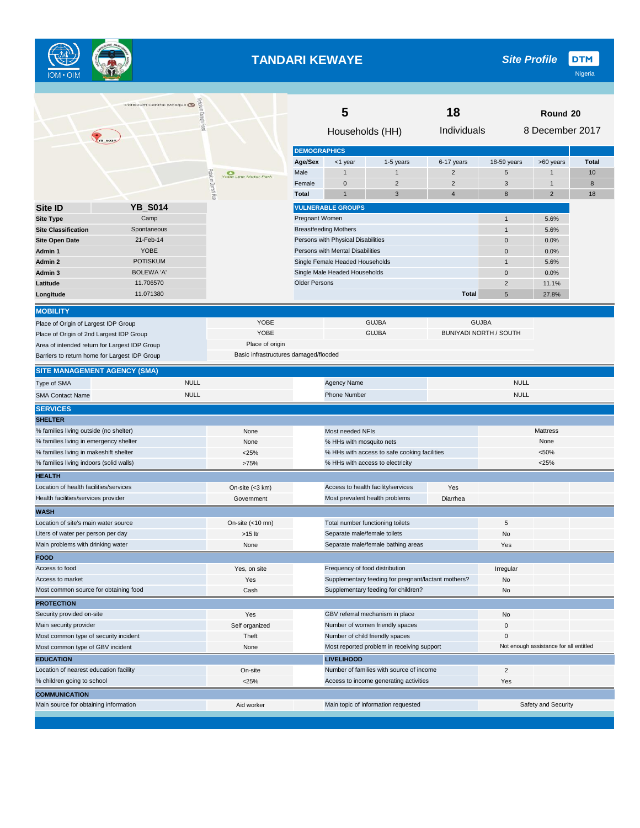

## **TANDARI KEWAYE**

|                                                         | Potiskum Central Mosque  |                                        | 5<br>18              |                                                                        |                                                     |                |                               | Round 20                               |       |
|---------------------------------------------------------|--------------------------|----------------------------------------|----------------------|------------------------------------------------------------------------|-----------------------------------------------------|----------------|-------------------------------|----------------------------------------|-------|
| <b>TYB_SOLA</b>                                         |                          | 즗                                      |                      | Households (HH)                                                        |                                                     | Individuals    |                               | 8 December 2017                        |       |
|                                                         |                          |                                        | <b>DEMOGRAPHICS</b>  |                                                                        |                                                     |                |                               |                                        |       |
|                                                         |                          |                                        | Age/Sex              | <1 year                                                                | 1-5 years                                           | 6-17 years     | 18-59 years                   | >60 years                              | Total |
|                                                         |                          | $\frac{1}{20}$<br>Yobe Line Motor Park | Male                 |                                                                        | $\mathbf{1}$                                        | $\overline{2}$ | $\sqrt{5}$                    | $\mathbf{1}$                           | 10    |
|                                                         |                          |                                        | Female               | $\pmb{0}$                                                              | $\overline{2}$                                      | $\overline{2}$ | 3                             | $\mathbf{1}$                           | 8     |
|                                                         |                          | 큻                                      | <b>Total</b>         | 1                                                                      | 3                                                   | $\overline{4}$ | 8                             | $\overline{2}$                         | 18    |
| Site ID                                                 | <b>YB_S014</b>           |                                        |                      | <b>VULNERABLE GROUPS</b>                                               |                                                     |                |                               |                                        |       |
| <b>Site Type</b>                                        | Camp                     |                                        | Pregnant Women       |                                                                        |                                                     |                | $\mathbf{1}$                  | 5.6%                                   |       |
| <b>Site Classification</b>                              | Spontaneous              |                                        |                      | <b>Breastfeeding Mothers</b>                                           |                                                     |                | $\mathbf{1}$                  | 5.6%                                   |       |
| <b>Site Open Date</b>                                   | 21-Feb-14<br><b>YOBE</b> |                                        |                      | Persons with Physical Disabilities<br>Persons with Mental Disabilities |                                                     |                | $\mathbf 0$                   | 0.0%                                   |       |
| Admin 1                                                 | <b>POTISKUM</b>          |                                        |                      |                                                                        |                                                     |                | $\mathbf 0$<br>$\overline{1}$ | 0.0%                                   |       |
| Admin 2<br>Admin 3                                      | <b>BOLEWA 'A'</b>        |                                        |                      | Single Female Headed Households<br>Single Male Headed Households       |                                                     |                | $\mathbf 0$                   | 5.6%<br>0.0%                           |       |
| Latitude                                                | 11.706570                |                                        | <b>Older Persons</b> |                                                                        |                                                     |                | $\overline{2}$                | 11.1%                                  |       |
| Longitude                                               | 11.071380                |                                        |                      |                                                                        |                                                     | <b>Total</b>   | $5\phantom{.0}$               | 27.8%                                  |       |
|                                                         |                          |                                        |                      |                                                                        |                                                     |                |                               |                                        |       |
| <b>MOBILITY</b>                                         |                          |                                        |                      |                                                                        |                                                     |                |                               |                                        |       |
| Place of Origin of Largest IDP Group                    |                          | YOBE                                   |                      |                                                                        | <b>GUJBA</b>                                        |                | <b>GUJBA</b>                  |                                        |       |
| Place of Origin of 2nd Largest IDP Group                |                          | YOBE                                   |                      |                                                                        | <b>GUJBA</b>                                        |                | <b>BUNIYADI NORTH / SOUTH</b> |                                        |       |
| Area of intended return for Largest IDP Group           |                          | Place of origin                        |                      |                                                                        |                                                     |                |                               |                                        |       |
| Barriers to return home for Largest IDP Group           |                          | Basic infrastructures damaged/flooded  |                      |                                                                        |                                                     |                |                               |                                        |       |
| <b>SITE MANAGEMENT AGENCY (SMA)</b>                     |                          |                                        |                      |                                                                        |                                                     |                |                               |                                        |       |
| Type of SMA                                             |                          | <b>NULL</b>                            |                      | <b>Agency Name</b>                                                     |                                                     |                | <b>NULL</b>                   |                                        |       |
| <b>SMA Contact Name</b>                                 |                          | <b>NULL</b>                            |                      | <b>Phone Number</b>                                                    |                                                     |                | <b>NULL</b>                   |                                        |       |
| <b>SERVICES</b>                                         |                          |                                        |                      |                                                                        |                                                     |                |                               |                                        |       |
| <b>SHELTER</b>                                          |                          |                                        |                      |                                                                        |                                                     |                |                               |                                        |       |
| % families living outside (no shelter)                  |                          | None                                   |                      | Most needed NFIs                                                       |                                                     |                |                               | Mattress                               |       |
| % families living in emergency shelter                  |                          | None                                   |                      | % HHs with mosquito nets                                               |                                                     |                | None                          |                                        |       |
| % families living in makeshift shelter                  |                          | $<$ 25%                                |                      |                                                                        | % HHs with access to safe cooking facilities        |                |                               | < 50%                                  |       |
| % families living indoors (solid walls)                 |                          | >75%                                   |                      |                                                                        | % HHs with access to electricity                    |                |                               | < 25%                                  |       |
| <b>HEALTH</b><br>Location of health facilities/services |                          |                                        |                      |                                                                        | Access to health facility/services                  | Yes            |                               |                                        |       |
| Health facilities/services provider                     |                          | On-site (<3 km)<br>Government          |                      |                                                                        | Most prevalent health problems                      | Diarrhea       |                               |                                        |       |
| <b>WASH</b>                                             |                          |                                        |                      |                                                                        |                                                     |                |                               |                                        |       |
| Location of site's main water source                    |                          | On-site $(<10$ mn)                     |                      |                                                                        | Total number functioning toilets                    |                | $\,$ 5 $\,$                   |                                        |       |
| Liters of water per person per day                      |                          | >15 ltr                                |                      | Separate male/female toilets                                           |                                                     |                | No                            |                                        |       |
| Main problems with drinking water                       |                          | None                                   |                      |                                                                        | Separate male/female bathing areas                  |                | Yes                           |                                        |       |
| <b>FOOD</b>                                             |                          |                                        |                      |                                                                        |                                                     |                |                               |                                        |       |
| Access to food                                          |                          | Yes, on site                           |                      |                                                                        | Frequency of food distribution                      |                | Irregular                     |                                        |       |
| Access to market                                        |                          | Yes                                    |                      |                                                                        | Supplementary feeding for pregnant/lactant mothers? |                | No                            |                                        |       |
| Most common source for obtaining food                   |                          | Cash                                   |                      |                                                                        | Supplementary feeding for children?                 |                | No                            |                                        |       |
| <b>PROTECTION</b>                                       |                          |                                        |                      |                                                                        |                                                     |                |                               |                                        |       |
| Security provided on-site                               |                          | Yes                                    |                      |                                                                        | GBV referral mechanism in place                     |                | No                            |                                        |       |
| Main security provider                                  |                          | Self organized                         |                      |                                                                        | Number of women friendly spaces                     |                | $\mathbf 0$                   |                                        |       |
| Most common type of security incident                   |                          | Theft                                  |                      |                                                                        | Number of child friendly spaces                     |                | $\mathbf 0$                   |                                        |       |
| Most common type of GBV incident                        |                          | None                                   |                      |                                                                        | Most reported problem in receiving support          |                |                               | Not enough assistance for all entitled |       |
| <b>EDUCATION</b>                                        |                          |                                        |                      | <b>LIVELIHOOD</b>                                                      |                                                     |                |                               |                                        |       |
| Location of nearest education facility                  |                          | On-site                                |                      |                                                                        | Number of families with source of income            |                | $\overline{2}$                |                                        |       |
| % children going to school                              |                          | < 25%                                  |                      |                                                                        | Access to income generating activities              |                | Yes                           |                                        |       |
| <b>COMMUNICATION</b>                                    |                          |                                        |                      |                                                                        |                                                     |                |                               |                                        |       |
| Main source for obtaining information                   |                          | Aid worker                             |                      |                                                                        | Main topic of information requested                 |                | Safety and Security           |                                        |       |
|                                                         |                          |                                        |                      |                                                                        |                                                     |                |                               |                                        |       |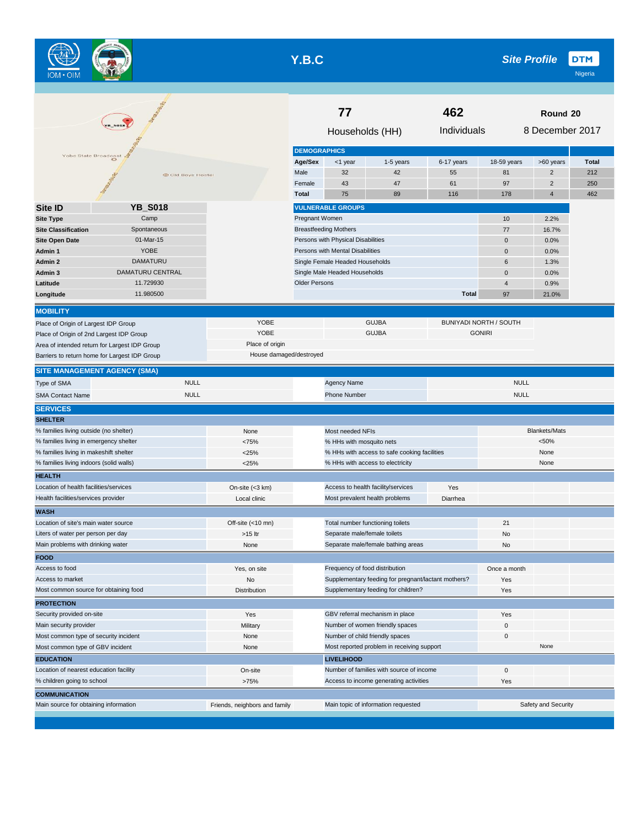

# **Y.B.C**

| <b>B_SO18</b>                            |                                                                        |                         | 77<br>462                                                       |                                     |                                                     |              | Round 20                      |                      |              |  |
|------------------------------------------|------------------------------------------------------------------------|-------------------------|-----------------------------------------------------------------|-------------------------------------|-----------------------------------------------------|--------------|-------------------------------|----------------------|--------------|--|
|                                          |                                                                        |                         |                                                                 | Households (HH)                     |                                                     | Individuals  |                               | 8 December 2017      |              |  |
| Yobe State Broadcast                     |                                                                        |                         | <b>DEMOGRAPHICS</b>                                             |                                     |                                                     |              |                               |                      |              |  |
|                                          |                                                                        |                         | Age/Sex                                                         | <1 year                             | 1-5 years                                           | 6-17 years   | 18-59 years                   | >60 years            | <b>Total</b> |  |
|                                          | Old Boys Hostel                                                        |                         | Male                                                            | 32                                  | 42                                                  | 55           | 81                            | $\overline{2}$       | 212          |  |
|                                          |                                                                        |                         | Female                                                          | 43                                  | 47                                                  | 61           | 97                            | $\overline{2}$       | 250          |  |
|                                          |                                                                        |                         | <b>Total</b>                                                    | 75                                  | 89                                                  | 116          | 178                           | $\overline{4}$       | 462          |  |
| <b>Site ID</b>                           | <b>YB_S018</b>                                                         |                         |                                                                 | <b>VULNERABLE GROUPS</b>            |                                                     |              |                               |                      |              |  |
| <b>Site Type</b>                         | Camp                                                                   |                         | Pregnant Women                                                  |                                     |                                                     |              | 10                            | 2.2%                 |              |  |
| <b>Site Classification</b>               | Spontaneous                                                            |                         |                                                                 | <b>Breastfeeding Mothers</b>        |                                                     |              | 77                            | 16.7%                |              |  |
| <b>Site Open Date</b>                    | 01-Mar-15                                                              |                         |                                                                 | Persons with Physical Disabilities  |                                                     |              | 0                             | 0.0%                 |              |  |
| Admin 1                                  | <b>YOBE</b>                                                            |                         |                                                                 | Persons with Mental Disabilities    |                                                     |              | 0                             | 0.0%                 |              |  |
| Admin 2                                  | DAMATURU                                                               |                         |                                                                 | Single Female Headed Households     |                                                     |              | 6                             | 1.3%                 |              |  |
| Admin 3                                  | DAMATURU CENTRAL                                                       |                         |                                                                 | Single Male Headed Households       |                                                     |              | 0                             | 0.0%                 |              |  |
| Latitude                                 | 11.729930                                                              |                         | <b>Older Persons</b>                                            |                                     |                                                     |              | 4                             | 0.9%                 |              |  |
| Longitude                                | 11.980500                                                              |                         |                                                                 |                                     |                                                     | <b>Total</b> | 97                            | 21.0%                |              |  |
|                                          |                                                                        |                         |                                                                 |                                     |                                                     |              |                               |                      |              |  |
| <b>MOBILITY</b>                          |                                                                        |                         |                                                                 |                                     |                                                     |              |                               |                      |              |  |
| Place of Origin of Largest IDP Group     |                                                                        | YOBE                    |                                                                 |                                     | <b>GUJBA</b>                                        |              | <b>BUNIYADI NORTH / SOUTH</b> |                      |              |  |
| Place of Origin of 2nd Largest IDP Group |                                                                        | YOBE                    |                                                                 |                                     | <b>GUJBA</b>                                        |              | <b>GONIRI</b>                 |                      |              |  |
|                                          | Area of intended return for Largest IDP Group                          | Place of origin         |                                                                 |                                     |                                                     |              |                               |                      |              |  |
|                                          | Barriers to return home for Largest IDP Group                          | House damaged/destroyed |                                                                 |                                     |                                                     |              |                               |                      |              |  |
|                                          | SITE MANAGEMENT AGENCY (SMA)                                           |                         |                                                                 |                                     |                                                     |              |                               |                      |              |  |
| Type of SMA                              | <b>NULL</b>                                                            |                         |                                                                 | Agency Name                         |                                                     |              | <b>NULL</b>                   |                      |              |  |
| <b>SMA Contact Name</b>                  | <b>NULL</b>                                                            |                         |                                                                 | <b>Phone Number</b>                 |                                                     |              | <b>NULL</b>                   |                      |              |  |
| <b>SERVICES</b>                          |                                                                        |                         |                                                                 |                                     |                                                     |              |                               |                      |              |  |
| <b>SHELTER</b>                           |                                                                        |                         |                                                                 |                                     |                                                     |              |                               |                      |              |  |
| % families living outside (no shelter)   |                                                                        | None                    |                                                                 | Most needed NFIs                    |                                                     |              |                               | <b>Blankets/Mats</b> |              |  |
| % families living in emergency shelter   |                                                                        | <75%                    |                                                                 | % HHs with mosquito nets            |                                                     |              |                               | < 50%                |              |  |
| % families living in makeshift shelter   |                                                                        | $<$ 25%                 |                                                                 |                                     | % HHs with access to safe cooking facilities        |              |                               | None                 |              |  |
| % families living indoors (solid walls)  |                                                                        | < 25%                   |                                                                 |                                     | % HHs with access to electricity                    |              |                               | None                 |              |  |
| <b>HEALTH</b>                            |                                                                        |                         |                                                                 |                                     |                                                     |              |                               |                      |              |  |
| Location of health facilities/services   |                                                                        | On-site $(<3$ km)       |                                                                 |                                     | Access to health facility/services                  | Yes          |                               |                      |              |  |
| Health facilities/services provider      |                                                                        | Local clinic            |                                                                 | Most prevalent health problems      |                                                     | Diarrhea     |                               |                      |              |  |
| <b>WASH</b>                              |                                                                        |                         |                                                                 |                                     |                                                     |              |                               |                      |              |  |
| Location of site's main water source     |                                                                        | Off-site (<10 mn)       |                                                                 | Total number functioning toilets    |                                                     |              | 21                            |                      |              |  |
| Liters of water per person per day       |                                                                        | >15 ltr                 |                                                                 | Separate male/female toilets        |                                                     |              | No                            |                      |              |  |
| Main problems with drinking water        |                                                                        | None                    |                                                                 |                                     | Separate male/female bathing areas                  |              | No                            |                      |              |  |
| <b>FOOD</b>                              |                                                                        |                         |                                                                 |                                     |                                                     |              |                               |                      |              |  |
| Access to food                           |                                                                        | Yes, on site            |                                                                 | Frequency of food distribution      |                                                     |              | Once a month                  |                      |              |  |
| Access to market                         |                                                                        | No                      |                                                                 |                                     | Supplementary feeding for pregnant/lactant mothers? |              | Yes                           |                      |              |  |
| Most common source for obtaining food    |                                                                        | <b>Distribution</b>     |                                                                 |                                     | Supplementary feeding for children?                 |              | Yes                           |                      |              |  |
| <b>PROTECTION</b>                        |                                                                        |                         |                                                                 |                                     |                                                     |              |                               |                      |              |  |
| Security provided on-site                |                                                                        | Yes                     |                                                                 |                                     | GBV referral mechanism in place                     |              | Yes                           |                      |              |  |
| Main security provider                   |                                                                        | Military                |                                                                 |                                     | Number of women friendly spaces                     |              | 0                             |                      |              |  |
| Most common type of security incident    |                                                                        | None                    |                                                                 | Number of child friendly spaces     |                                                     |              | 0                             |                      |              |  |
| Most common type of GBV incident         |                                                                        | None                    |                                                                 |                                     |                                                     |              |                               | None                 |              |  |
| <b>EDUCATION</b>                         |                                                                        |                         | Most reported problem in receiving support<br><b>LIVELIHOOD</b> |                                     |                                                     |              |                               |                      |              |  |
| Location of nearest education facility   |                                                                        | On-site                 | Number of families with source of income                        |                                     |                                                     |              | 0                             |                      |              |  |
| % children going to school               |                                                                        | >75%                    |                                                                 |                                     | Access to income generating activities              |              | Yes                           |                      |              |  |
| <b>COMMUNICATION</b>                     |                                                                        |                         |                                                                 |                                     |                                                     |              |                               |                      |              |  |
|                                          | Main source for obtaining information<br>Friends, neighbors and family |                         |                                                                 | Main topic of information requested |                                                     |              |                               | Safety and Security  |              |  |
|                                          |                                                                        |                         |                                                                 |                                     |                                                     |              |                               |                      |              |  |